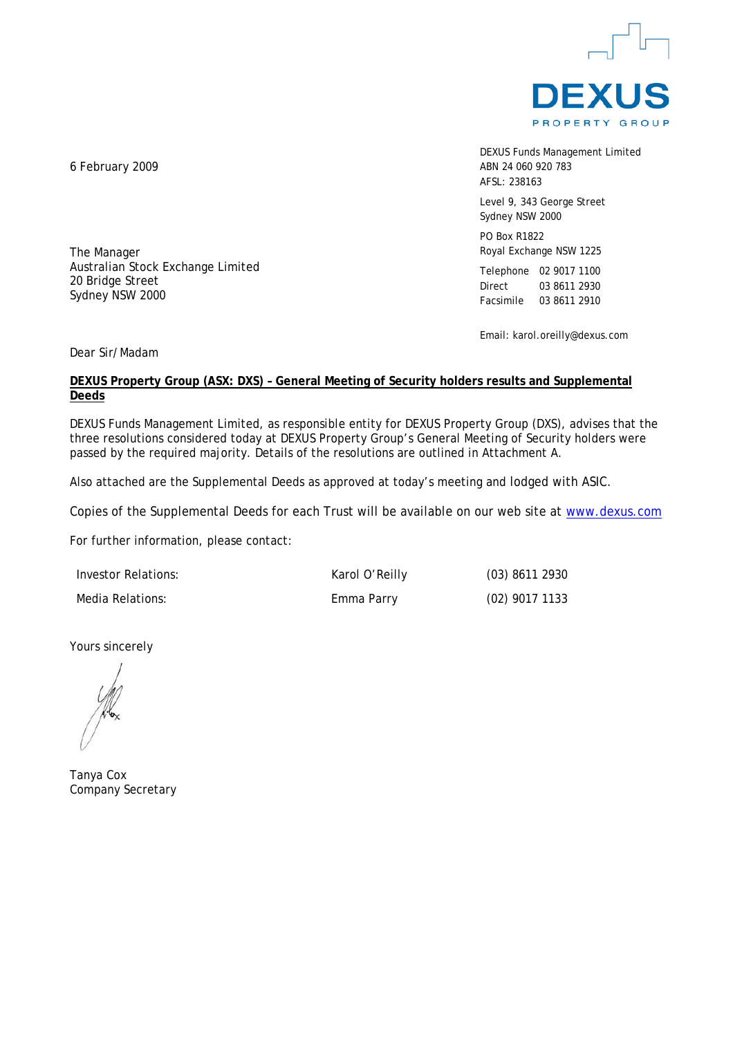

DEXUS Funds Management Limited ABN 24 060 920 783 AFSL: 238163

Level 9, 343 George Street Sydney NSW 2000

PO Box R1822 Royal Exchange NSW 1225

Telephone 02 9017 1100 Direct 03 8611 2930 Facsimile 03 8611 2910

Email: karol.oreilly@dexus.com

Dear Sir/Madam

### **DEXUS Property Group (ASX: DXS) – General Meeting of Security holders results and Supplemental Deeds**

DEXUS Funds Management Limited, as responsible entity for DEXUS Property Group (DXS), advises that the three resolutions considered today at DEXUS Property Group's General Meeting of Security holders were passed by the required majority. Details of the resolutions are outlined in Attachment A.

Also attached are the Supplemental Deeds as approved at today's meeting and lodged with ASIC.

Copies of the Supplemental Deeds for each Trust will be available on our web site at [www.dexus.com](http://www.dexus.com/)

For further information, please contact:

| Investor Relations: | Karol O'Reilly | $(03)$ 8611 2930 |
|---------------------|----------------|------------------|
| Media Relations:    | Emma Parry     | (02) 9017 1133   |

Yours sincerely

Tanya Cox Company Secretary

6 February 2009

The Manager

20 Bridge Street Sydney NSW 2000

Australian Stock Exchange Limited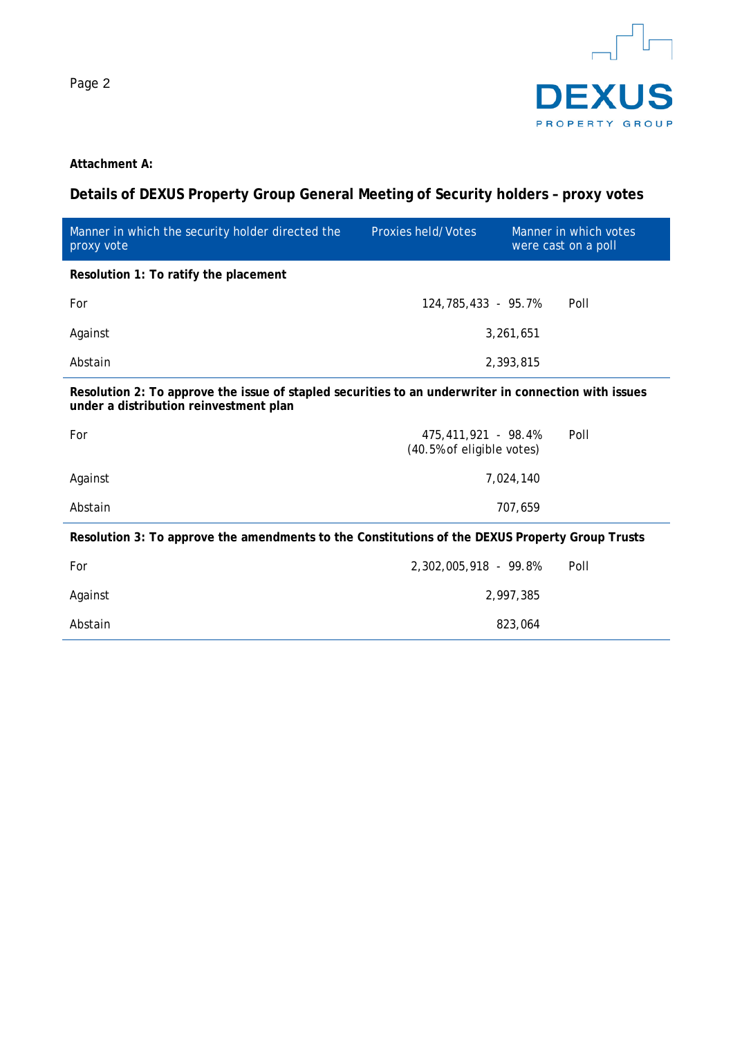

### **Attachment A:**

## **Details of DEXUS Property Group General Meeting of Security holders – proxy votes**

| Manner in which the security holder directed the<br>proxy vote                                                                                 | Proxies held/Votes                               |           | Manner in which votes<br>were cast on a poll |  |
|------------------------------------------------------------------------------------------------------------------------------------------------|--------------------------------------------------|-----------|----------------------------------------------|--|
| Resolution 1: To ratify the placement                                                                                                          |                                                  |           |                                              |  |
| For                                                                                                                                            | 124,785,433 - 95,7%                              |           | Poll                                         |  |
| Against                                                                                                                                        |                                                  | 3,261,651 |                                              |  |
| Abstain                                                                                                                                        |                                                  | 2,393,815 |                                              |  |
| Resolution 2: To approve the issue of stapled securities to an underwriter in connection with issues<br>under a distribution reinvestment plan |                                                  |           |                                              |  |
| For                                                                                                                                            | 475,411,921 - 98.4%<br>(40.5% of eligible votes) |           | Poll                                         |  |

|         | Resolution 3: To approve the amendments to the Constitutions of the DEXUS Property Group Trusts |  |
|---------|-------------------------------------------------------------------------------------------------|--|
| Abstain | 707.659                                                                                         |  |
| Against | 7.024.140                                                                                       |  |
|         | (40.5% of eligible votes)                                                                       |  |

| For     | 2,302,005,918 - 99.8% | Poll |
|---------|-----------------------|------|
| Against | 2,997,385             |      |
| Abstain | 823,064               |      |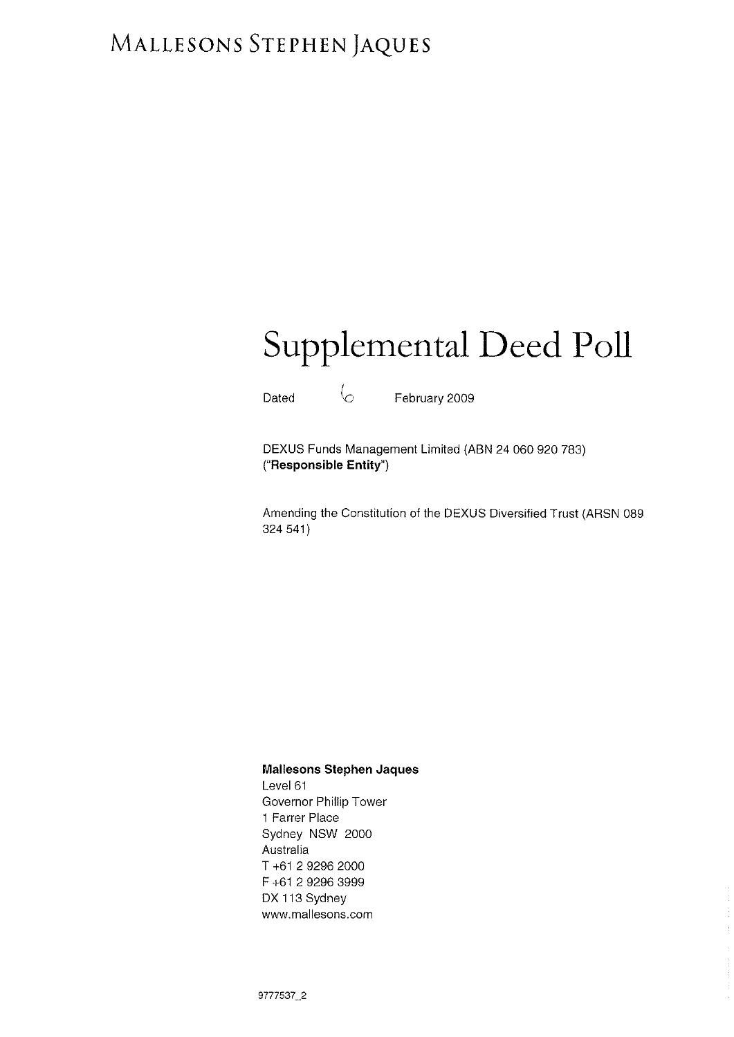# MALLESONS STEPHEN JAQUES

# Supplemental Deed Poll

Dated  $\sim$  February 2009

DEXUS Funds Management Limited (ABN 24 060 920 783) ("Responsible Entity")

Amending the Constitution of the DEXUS Diversified Trust (ARSN 089 324 541\

 $\mathbb{F}^2$ 

### Mallesons Stephen Jaques

Level 61 Governor Phillip Tower 1 Farrer Place Sydney NSW 2000 Australia T +61 2 9296 2000 F +61 2 9296 3999 DX 113 Sydney www.mallesons.com

9777597\_2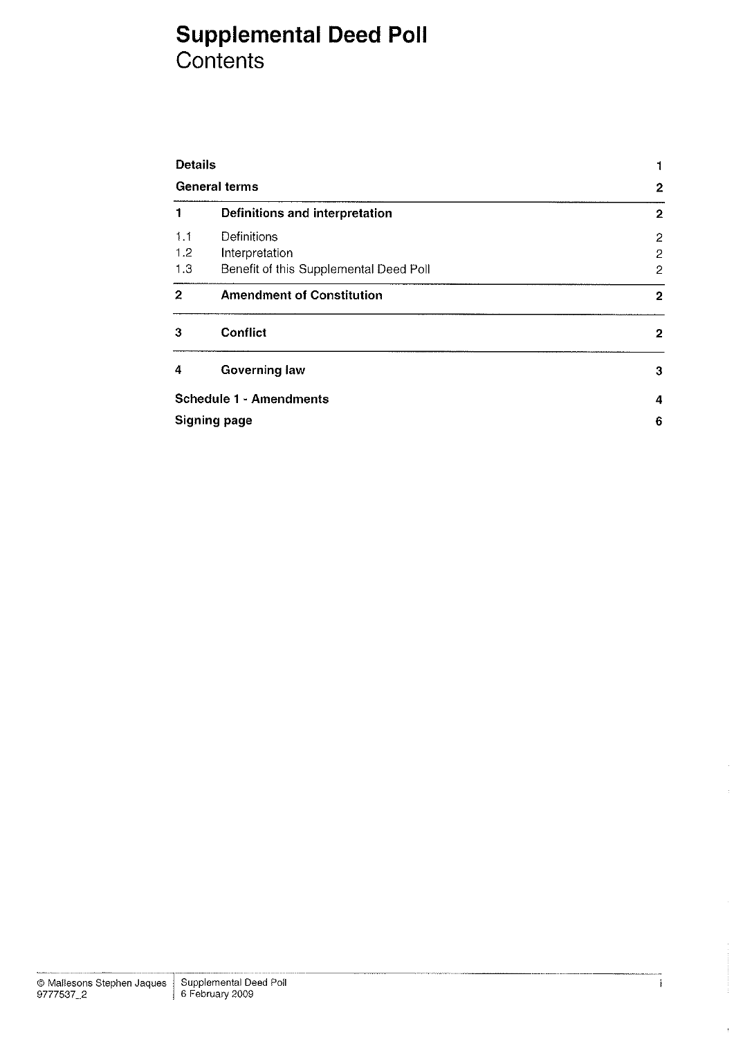## Supplemental Deed Poll Contents

| <b>Details</b><br><b>General terms</b> |                                        | 1              |
|----------------------------------------|----------------------------------------|----------------|
|                                        |                                        | $\mathbf{2}$   |
| 1                                      | Definitions and interpretation         | $\overline{2}$ |
| 1.1                                    | Definitions                            | $\overline{2}$ |
| 1.2                                    | Interpretation                         | 2              |
| 1.3                                    | Benefit of this Supplemental Deed Poll | $\overline{2}$ |
| $\mathbf{2}$                           | <b>Amendment of Constitution</b>       | 2              |
| 3                                      | <b>Conflict</b>                        | $\mathbf{2}$   |
| 4                                      | <b>Governing law</b>                   | 3              |
|                                        | <b>Schedule 1 - Amendments</b>         | 4              |
| <b>Signing page</b>                    | 6                                      |                |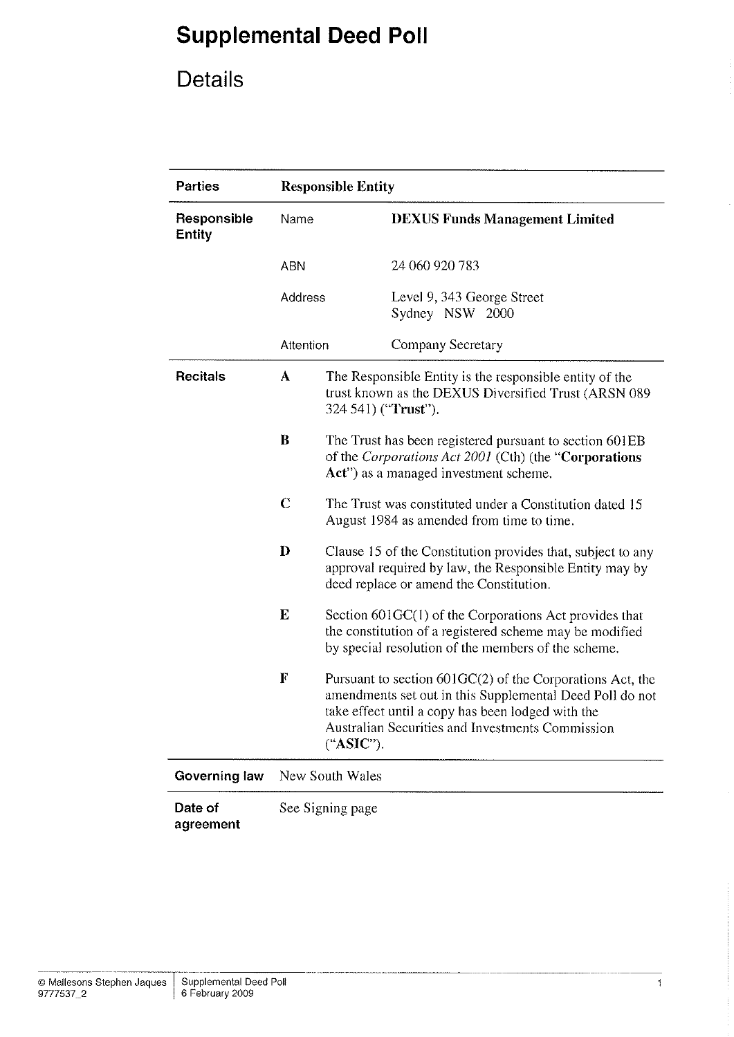# Details

| <b>Parties</b>               | <b>Responsible Entity</b>                                                                                                                   |                                                                                                                                                                                                                                               |                                               |  |
|------------------------------|---------------------------------------------------------------------------------------------------------------------------------------------|-----------------------------------------------------------------------------------------------------------------------------------------------------------------------------------------------------------------------------------------------|-----------------------------------------------|--|
| Responsible<br><b>Entity</b> | Name                                                                                                                                        |                                                                                                                                                                                                                                               | <b>DEXUS Funds Management Limited</b>         |  |
|                              | <b>ABN</b>                                                                                                                                  |                                                                                                                                                                                                                                               | 24 060 920 783                                |  |
|                              | Address                                                                                                                                     |                                                                                                                                                                                                                                               | Level 9, 343 George Street<br>Sydney NSW 2000 |  |
|                              | Attention                                                                                                                                   |                                                                                                                                                                                                                                               | Company Secretary                             |  |
| <b>Recitals</b>              | The Responsible Entity is the responsible entity of the<br>A<br>trust known as the DEXUS Diversified Trust (ARSN 089<br>324 541) ("Trust"). |                                                                                                                                                                                                                                               |                                               |  |
|                              | B                                                                                                                                           | The Trust has been registered pursuant to section 601EB<br>of the Corporations Act 2001 (Cth) (the "Corporations"<br>Act") as a managed investment scheme.                                                                                    |                                               |  |
|                              | $\overline{C}$<br>The Trust was constituted under a Constitution dated 15<br>August 1984 as amended from time to time.                      |                                                                                                                                                                                                                                               |                                               |  |
|                              | $\bf{D}$                                                                                                                                    | Clause 15 of the Constitution provides that, subject to any<br>approval required by law, the Responsible Entity may by<br>deed replace or amend the Constitution.                                                                             |                                               |  |
|                              | $\mathbf E$                                                                                                                                 | Section 601GC(1) of the Corporations Act provides that<br>the constitution of a registered scheme may be modified<br>by special resolution of the members of the scheme.                                                                      |                                               |  |
|                              | F                                                                                                                                           | Pursuant to section $601GC(2)$ of the Corporations Act, the<br>amendments set out in this Supplemental Deed Poll do not<br>take effect until a copy has been lodged with the<br>Australian Securities and Investments Commission<br>("ASIC"). |                                               |  |
| Governing law                | New South Wales                                                                                                                             |                                                                                                                                                                                                                                               |                                               |  |
| Date of<br>agreement         | See Signing page                                                                                                                            |                                                                                                                                                                                                                                               |                                               |  |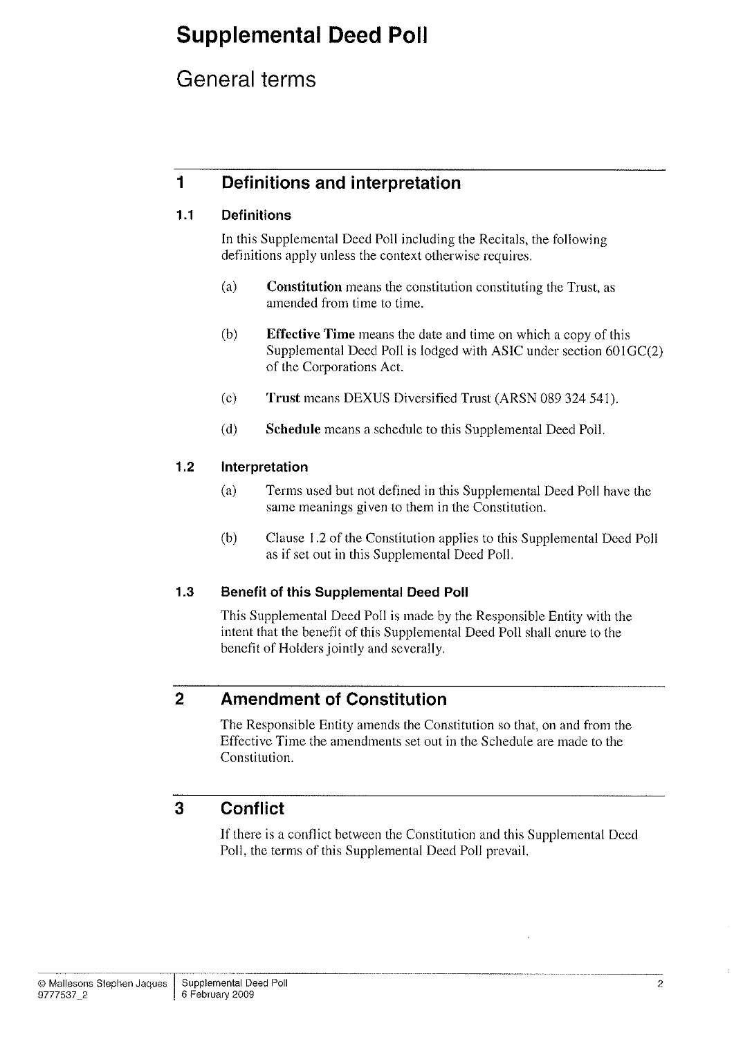## General terms

## I Definitions and interpretation

### 1.1 Definitions

In this Supplemental Deed Poll including the Recitals, the following definitions apply unless the context otherwise requires.

- (a) Constitution means the constitution constituting the Trust, as amended from time to time.
- (b) Effective Time means the date and time on which a copy of this Supplemental Deed Poll is lodged with ASIC under section 60lGC(2) of the Corporations Act.
- (c) Trust means DEXUS Diversified Trust (ARSN 089 324 541).
- (d) Schedule means a schedule to this Supplemental Deed Poll.

### 1.2 lnterpretation

- (a) Terms used but not defined in this Supplemental Deed Poll have the same meanings given to them in the Constitution.
- (b) Clause 1.2 of the Constitution applies to this Supplemental Deed Poll as if set out in this Supplemental Deed Poll.

### 1.3 Benefit of this Supplemental Deed Poll

This Supplemental Deed Poll is made by the Responsible Entity with the intent that the benefit of this Supplemental Deed Poll shall enure to the benefit of Holders jointly and severally.

## 2 Amendment of Constitution

The Responsible Entity amends the Constitution so that, on and from the Effective Time the amendments set out in the Schedule are made to the Constitution.

## 3 Conflict

If there is a conflict between the Constitution and this Supplemental Deed Poll, the terms of this Supplemental Deed Poll prevail.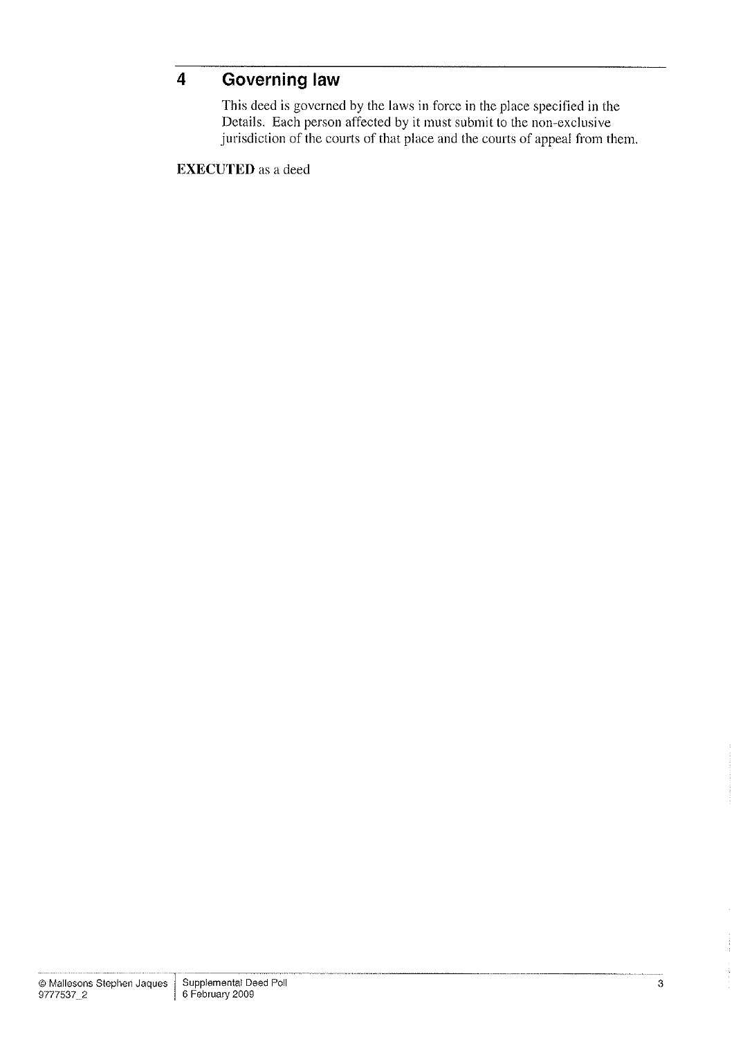#### **Governing law**  $\overline{\mathbf{4}}$

This deed is governed by the laws in foree in the place specified in the Details. Each person affected by it must submit to the non-exclusive jurisdiction of the courts of that place and the courts of appeal from them.

EXECUTED as a deed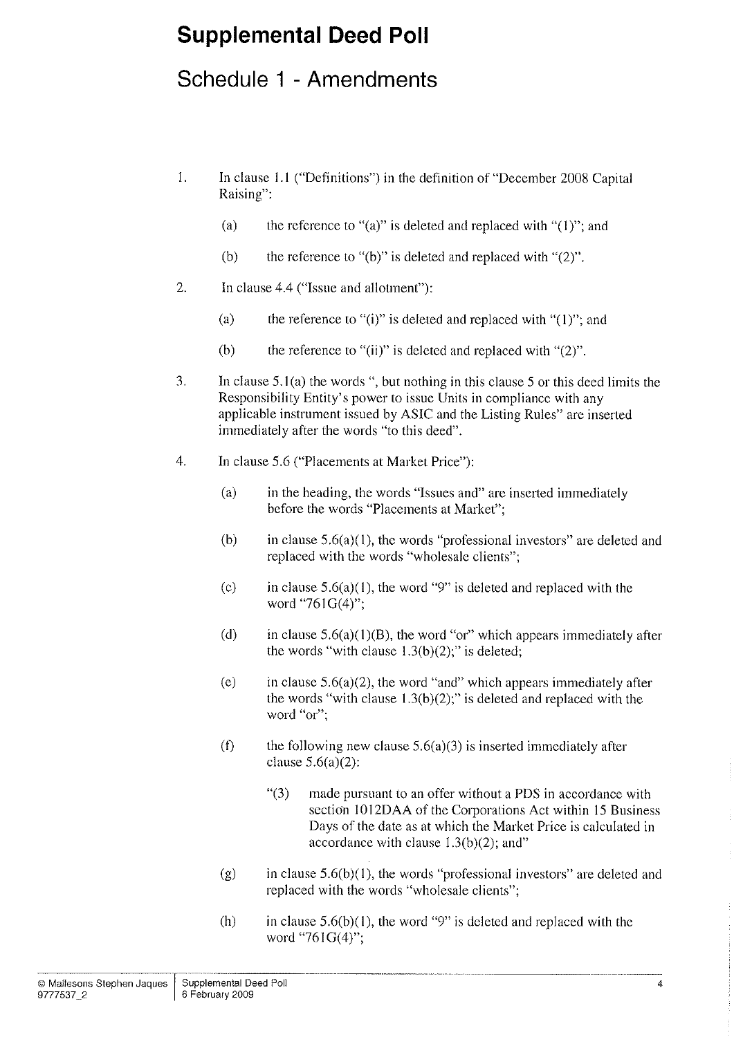## Schedule 1 - Amendments

- 1. In clause l.l ("Defìnitions") in the definition of "December 2008 Capital Raising":
	- (a) the reference to "(a)" is deleted and replaced with " $(1)$ "; and
	- (b) the reference to "(b)" is deleted and replaced with " $(2)$ ".
- 2. In clause 4.4 ("Issue and allotment"):
	- (a) the reference to "(i)" is deleted and replaced with " $(1)$ "; and
	- (b) the reference to "(ii)" is deleted and replaced with " $(2)$ ".
- 3. In clause 5.1(a) the words ", but nothing in this clause 5 or this deed limits the Responsibility Entity's power to issue Units in compliance with any applicable instrument issued by ASIC and the Listing Rules" are inserted immediately after the words "to this deed".
- 4. In clause 5.6 ("Placements at Market Price"):
	- (a) in the heading, the words "Issues and" are inserted immediately before the words "Placements at Market";
	- (b) in clause  $5.6(a)(1)$ , the words "professional investors" are deleted and replaced with the words "wholesale clients";
	- (c) in clause  $5.6(a)(1)$ , the word "9" is deleted and replaced with the word "761G(4)";
	- (d) in clause  $5.6(a)(1)(B)$ , the word "or" which appears immediately after the words "with clause  $1.3(b)(2)$ ;" is deleted;
	- (e) in clause  $5.6(a)(2)$ , the word "and" which appears immediately after the words "with clause  $1.3(b)(2)$ ;" is deleted and replaced with the word "or";
	- (f) the following new clause  $5.6(a)(3)$  is inserted immediately after clause  $5.6(a)(2)$ :
		- "(3) made pursuant to an offer without a PDS in accordance with section 1012DAA of the Corporations Act within 15 Business Days of the date as at which the Market Price is calculated in accordance with clause  $1.3(b)(2)$ ; and"
	- (g) in clause  $5.6(b)(1)$ , the words "professional investors" are deleted and replaced with the words "wholesale clients";
	- (h) in clause  $5.6(b)(1)$ , the word "9" is deleted and replaced with the word "761G(4)";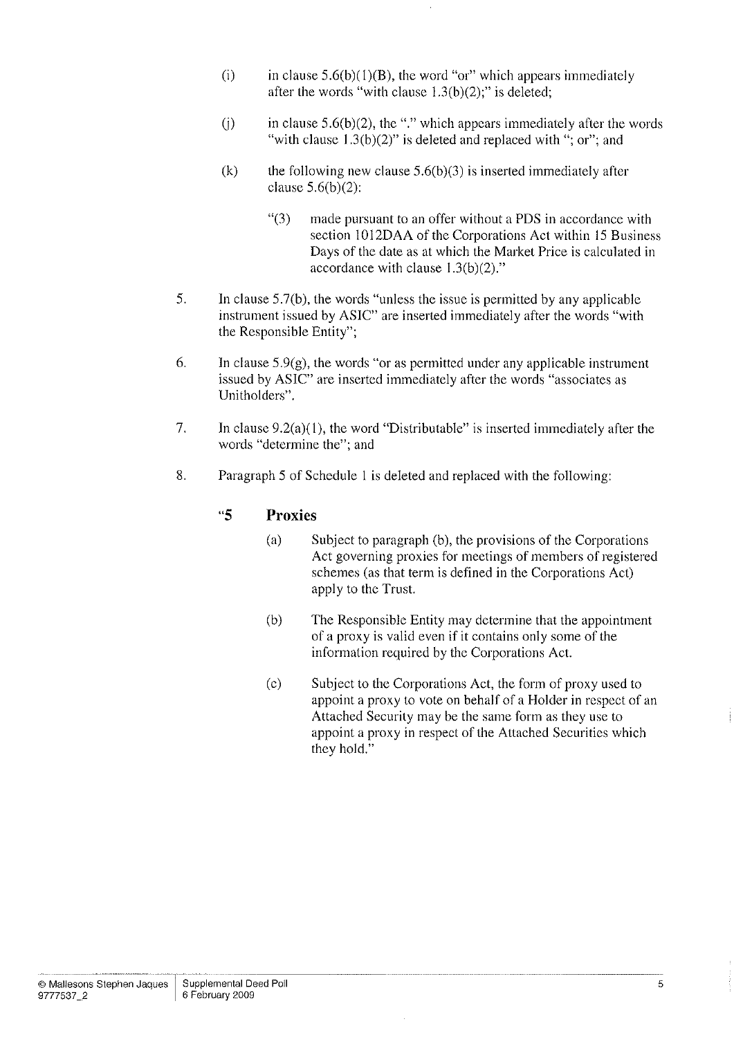- (i) in clause  $5.6(b)(1)(B)$ , the word "or" which appears immediately after the words "with clause  $1.3(b)(2)$ ;" is deleted;
- (i) in clause  $5.6(b)(2)$ , the "." which appears immediately after the words "with clause  $1.3(b)(2)$ " is deleted and replaced with "; or"; and
- (k) the following new clause  $5.6(b)(3)$  is inserted immediately after clause  $5.6(b)(2)$ :
	- "(3) made pursuant to an offer without a PDS in accordance with section l0l2DAA of the Corporations Act within l5 Business Days of the date as at which the Market Price is calculated in accordance with clause  $1.3(b)(2)$ ."
- 5. In clause 5.7(b), the words "unless the issue is permitted by any applicable instrument issued by ASIC" are inserted immediately after the words "with the Responsible Entity";
- 6. In clause  $5.9(g)$ , the words "or as permitted under any applicable instrument issued by ASIC" are inserted immediately after the words "associates as Unitholders".
- 7. In clause  $9.2(a)(1)$ , the word "Distributable" is inserted immediately after the words "determine the"; and
- 8. Paragraph 5 of Schedule I is deleted and replaced with the following:

### "5 Proxies

- (a) Subject to paragraph (b), the provisions of the Corporations Act governing proxies for meetings of members of registered schemes (as that term is defined in the Corporations Act) apply to the Trust.
- (b) The Responsible Entity may determine that the appointment of a proxy is valid even if it contains only some of the information required by the Corporations Act.
- (c) Subject to the Corporations Act, the form of proxy used to appoint a proxy to vote on behalf of a Holder in respect of an Attached Security may be the same form as they use to appoint a proxy in respect of the Attached Securities which they hold."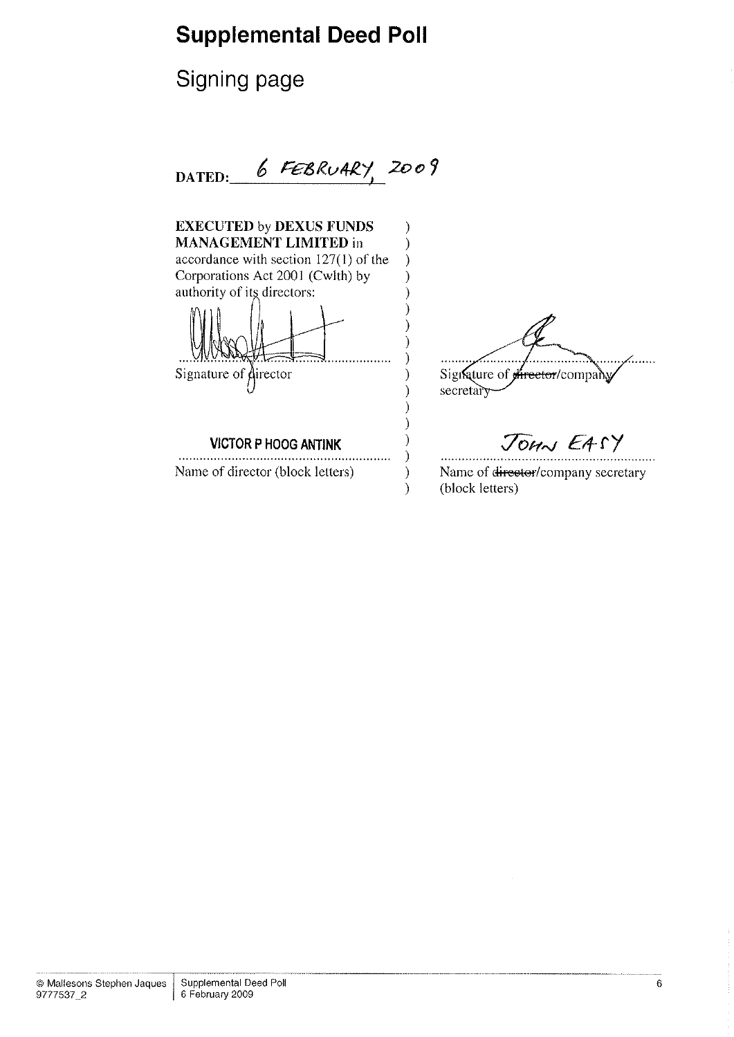# Signing page

 $DATED: 6 FEBRU4RY, 2009$ 

| <b>EXECUTED by DEXUS FUNDS</b>          |                                                        |
|-----------------------------------------|--------------------------------------------------------|
| <b>MANAGEMENT LIMITED in</b>            |                                                        |
| accordance with section $127(1)$ of the |                                                        |
| Corporations Act 2001 (Cwith) by        |                                                        |
| authority of its directors:             |                                                        |
| Signature of director                   | Signature of <del>director</del> /company<br>secretary |
| <b>VICTOR P HOOG ANTINK</b>             | JOHN EASY                                              |
| Name of director (block letters)        | Name of director/company secretary<br>(block letters)  |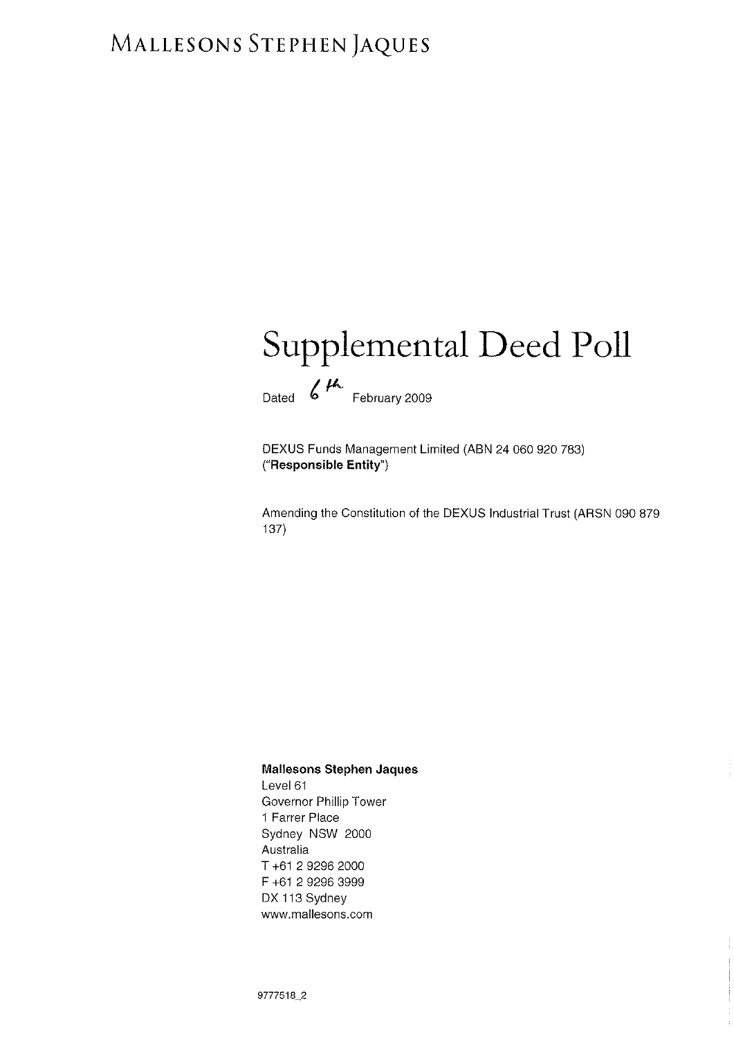# MALLESONS STEPHEN JAQUES

# Supplemental Deed Poll Dated  $6$ <sup>th</sup> February 2009

DEXUS Funds Management Limited (ABN 24 060 920 783) ("Responsible Entity")

Amending the Constitution of the DEXUS Industrial Trust (ARSN 090 879 137)

### Mallesons Stephen Jaques

Level 61 Governor Phillip Tower 1 Farrer Place Sydney NSW 2000 Australia T+61 292962000 F +61 2 9296 3999 DX 113 Sydney www.mallesons.com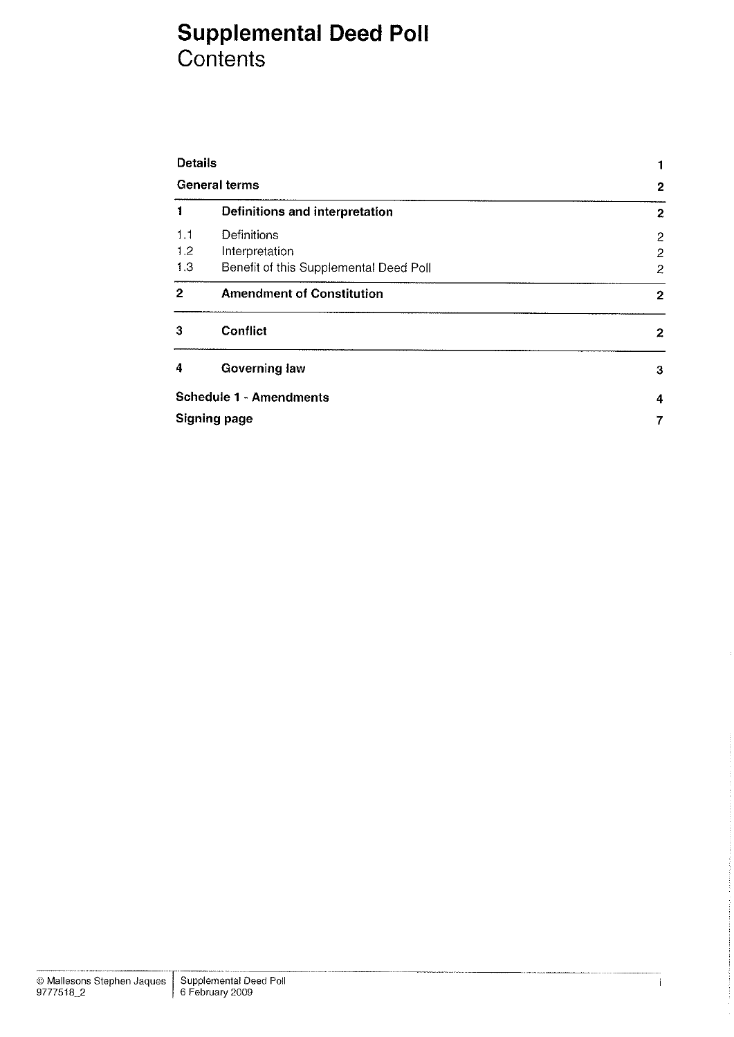## Supplemental Deed Poll Contents

| <b>Details</b>                         | 1                |
|----------------------------------------|------------------|
| General terms                          | $\overline{2}$   |
| Definitions and interpretation         | 2                |
| Definitions                            | 2                |
| Interpretation                         | 2                |
| Benefit of this Supplemental Deed Poll | 2                |
| <b>Amendment of Constitution</b>       | $\overline{2}$   |
| Conflict                               | $\boldsymbol{2}$ |
| <b>Governing law</b>                   | 3                |
| <b>Schedule 1 - Amendments</b>         | 4                |
| <b>Signing page</b>                    | 7                |
|                                        |                  |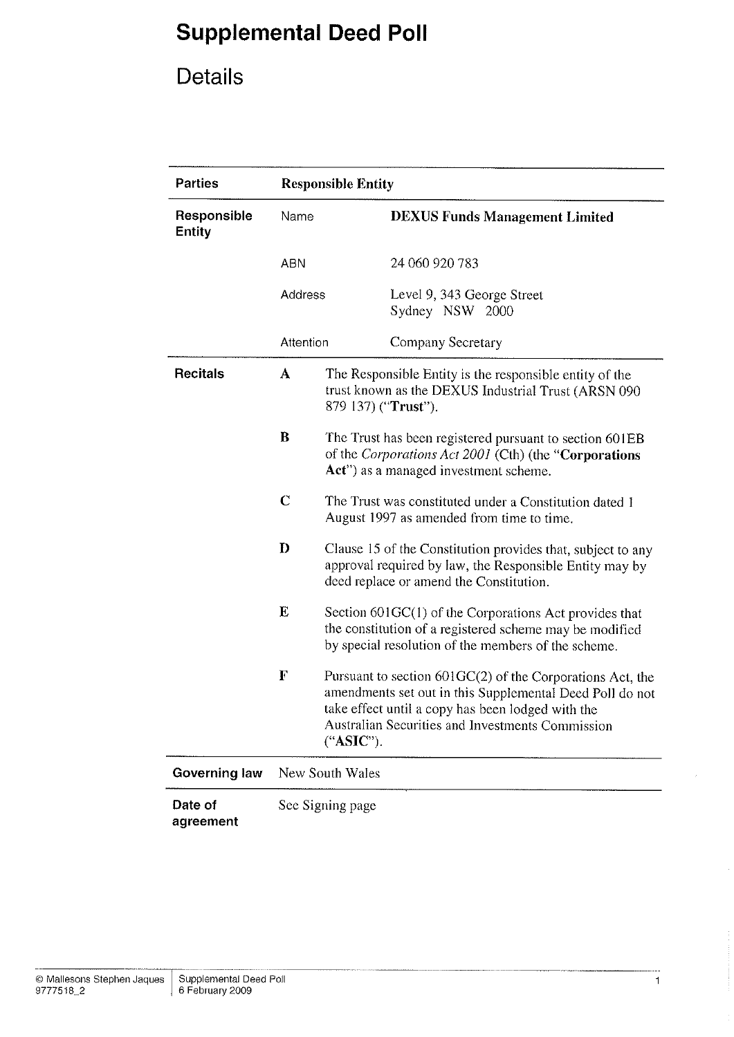# Details

| <b>Parties</b>               | <b>Responsible Entity</b>                                                                                                                                             |                                                                                                                                                                                                                                               |                                               |  |
|------------------------------|-----------------------------------------------------------------------------------------------------------------------------------------------------------------------|-----------------------------------------------------------------------------------------------------------------------------------------------------------------------------------------------------------------------------------------------|-----------------------------------------------|--|
| Responsible<br><b>Entity</b> | Name                                                                                                                                                                  |                                                                                                                                                                                                                                               | <b>DEXUS Funds Management Limited</b>         |  |
|                              | <b>ABN</b>                                                                                                                                                            |                                                                                                                                                                                                                                               | 24 060 920 783                                |  |
|                              | Address                                                                                                                                                               |                                                                                                                                                                                                                                               | Level 9, 343 George Street<br>Sydney NSW 2000 |  |
|                              | Attention                                                                                                                                                             |                                                                                                                                                                                                                                               | Company Secretary                             |  |
| <b>Recitals</b>              | A<br>The Responsible Entity is the responsible entity of the<br>trust known as the DEXUS Industrial Trust (ARSN 090<br>879 137) ("Trust").                            |                                                                                                                                                                                                                                               |                                               |  |
|                              | $\bf{B}$<br>The Trust has been registered pursuant to section 601EB<br>of the Corporations Act 2001 (Cth) (the "Corporations<br>Act") as a managed investment scheme. |                                                                                                                                                                                                                                               |                                               |  |
|                              | $\mathbf C$<br>The Trust was constituted under a Constitution dated 1<br>August 1997 as amended from time to time.                                                    |                                                                                                                                                                                                                                               |                                               |  |
|                              | D                                                                                                                                                                     | Clause 15 of the Constitution provides that, subject to any<br>approval required by law, the Responsible Entity may by<br>deed replace or amend the Constitution.                                                                             |                                               |  |
|                              | E                                                                                                                                                                     | Section $601GC(1)$ of the Corporations Act provides that<br>the constitution of a registered scheme may be modified<br>by special resolution of the members of the scheme.                                                                    |                                               |  |
|                              | F                                                                                                                                                                     | Pursuant to section $601GC(2)$ of the Corporations Act, the<br>amendments set out in this Supplemental Deed Poll do not<br>take effect until a copy has been lodged with the<br>Australian Securities and Investments Commission<br>("ASIC"). |                                               |  |
| <b>Governing law</b>         | New South Wales                                                                                                                                                       |                                                                                                                                                                                                                                               |                                               |  |
| Date of<br>agreement         | See Signing page                                                                                                                                                      |                                                                                                                                                                                                                                               |                                               |  |

 $\mathbf{1}$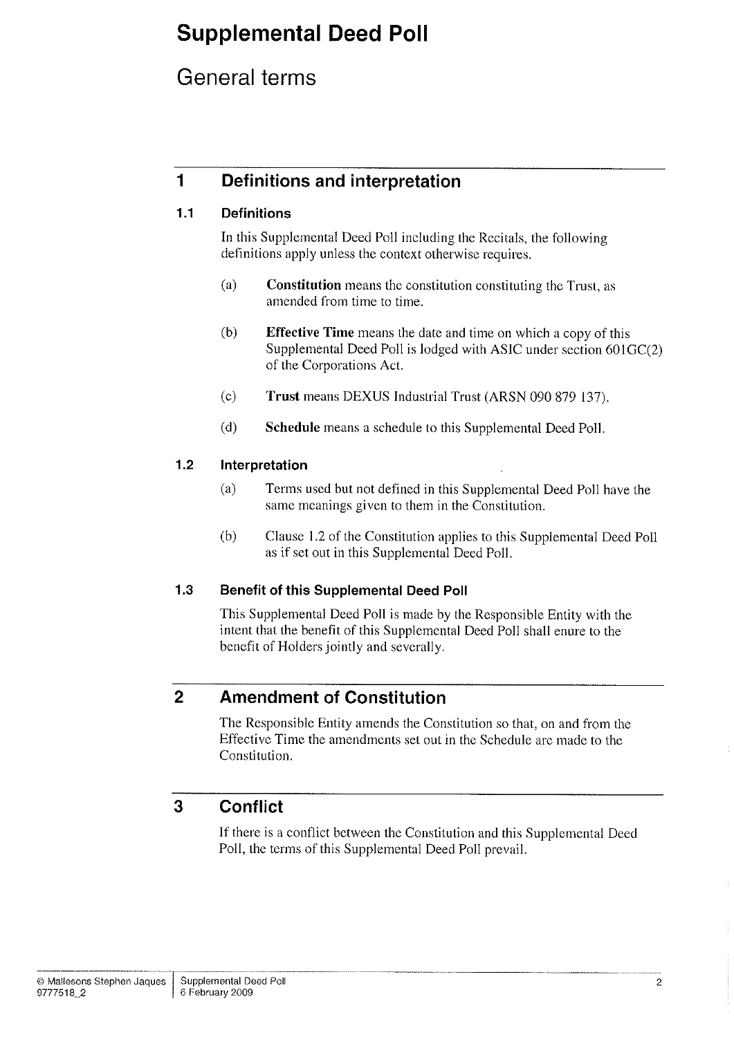## General terms

## 1 Definitions and interpretation

### 1.1 Definitions

In this Supplemental Deed Poll including the Recirals, the following definitions apply unless the context otherwise requires.

- (a) Constitution means the constitution constituting the Trust, as amended from time to time.
- (b) Effective Time means the date and time on which a copy of this Supplemental Deed Poll is lodged with ASIC under section 60lGC(2) of the Corporations Act.
- (c) Trust means DEXUS Industrial Trust (ARSN 090 879 137).
- (d) Schedule means a schedule to this Supplemental Deed Poll.

### 1.2 lnterpretation

- (a) Terms used but not defined in this Supplemental Deed Poll have the same meanings given to them in the Constitution.
- (b) Clause 1.2 of the Constitution applies to this Supplemental Deed Poll as if set out in this Supplemental Deed Poll.

### 1.3 Benefit of this Supplemental Deed Poll

This Supplemental Deed Poll is made by the Responsible Entity with the intent that the benefit of this Supplemental Deed Poll shall enure to the benefit of Holders jointly and severally.

## 2 Amendment of Constitution

The Responsible Entity amends the Constitution so that, on and from the Effective Time the amendments set out in the Schedule are made to the Constitution.

## 3 Gonflict

If there is a conflict between the Constitution and this Supplemental Deed Poll, the terms of this Supplemental Deed Poll prevail.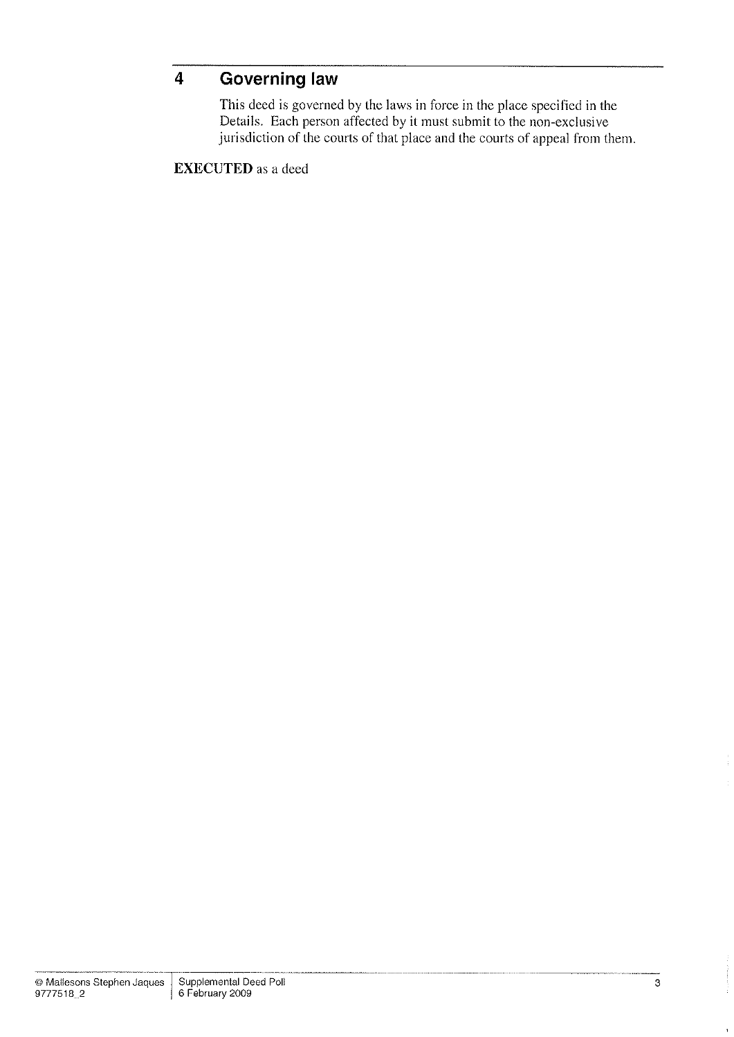## 4 Governing law

This deed is governed by the laws in force in the place specified in the Details. Each person affected by it must submit to the non-exclusive jurisdiction of the courts of that place and the courts of appeal from them.

EXECUTED as a deed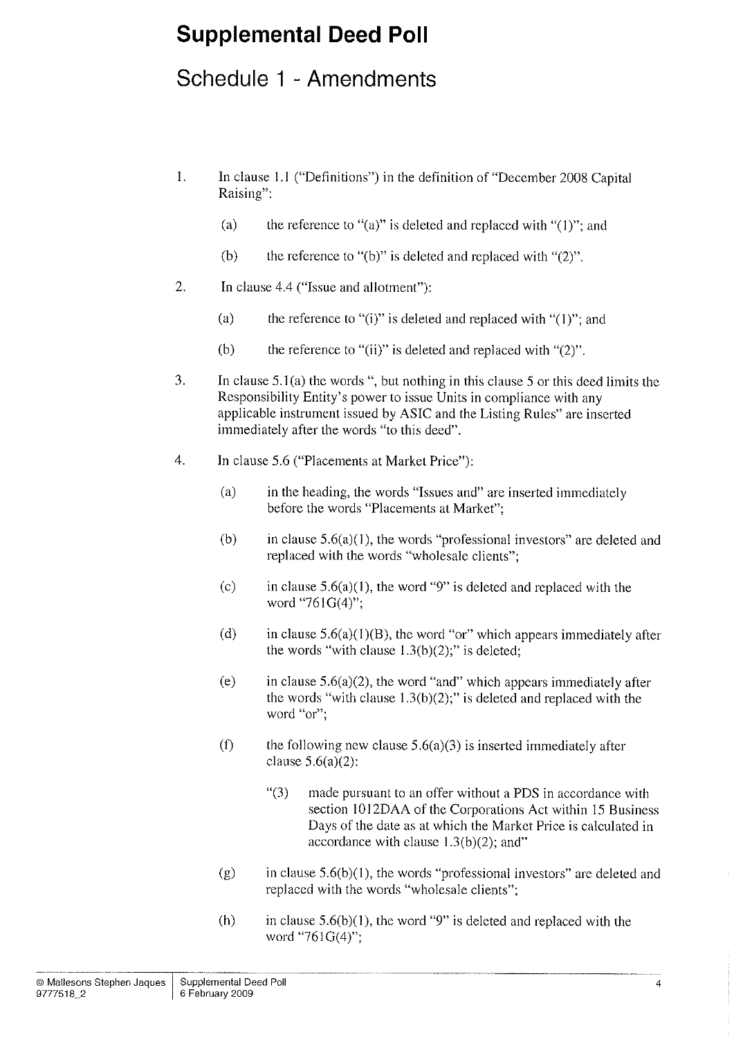## Schedule 1 - Amendments

- l. In clause l.l ("Definitions") in the definition of "December 2008 Capital Raising":
	- (a) the reference to "(a)" is deleted and replaced with " $(1)$ "; and
	- (b) the reference to "(b)" is deleted and replaced with " $(2)$ ".
- 2, In clause 4.4 ("[ssue and allotment"):
	- (a) the reference to "(i)" is deleted and replaced with " $(1)$ "; and
	- (b) the reference to "(ii)" is deleted and replaced with "(2)".
- 3. In clause 5.1(a) the words ", but nothing in this clause 5 or this deed limits the Responsibility Entity's power to issue Units in compliance with any applicable instrument issued by ASIC and the Listing Rules" are inserted immediately after the words "to this deed".
- 4. In clause 5.6 ("Placements at Market Price"):
	- (a) in the heading, the words "Issues and" are inserted immediately before the words "Placements at Market";
	- (b) in clause  $5.6(a)(1)$ , the words "professional investors" are deleted and replaced with the words "wholesale clients";
	- (c) in clause  $5.6(a)(1)$ , the word "9" is deleted and replaced with the word "761G(4)";
	- (d) in clause  $5.6(a)(1)(B)$ , the word "or" which appears immediately after the words "with clause  $1.3(b)(2)$ ;" is deleted;
	- (e) in clause  $5.6(a)(2)$ , the word "and" which appears immediately after the words "with clause  $1.3(b)(2)$ ;" is deleted and replaced with the word "or";
	- (f) the following new clause  $5.6(a)(3)$  is inserted immediately after clause  $5.6(a)(2)$ :
		- "(3) made pursuant to an offer without a PDS in accordance with section 1012DAA of the Corporations Act within 15 Business Days of the date as at which the Market Price is calculated in accordance with clause  $1.3(b)(2)$ ; and"
	- (g) in clause  $5.6(b)(1)$ , the words "professional investors" are deleted and replaced with the words "wholesale clients";
	- (h) in clause  $5.6(b)(1)$ , the word "9" is deleted and replaced with the word "761G(4)";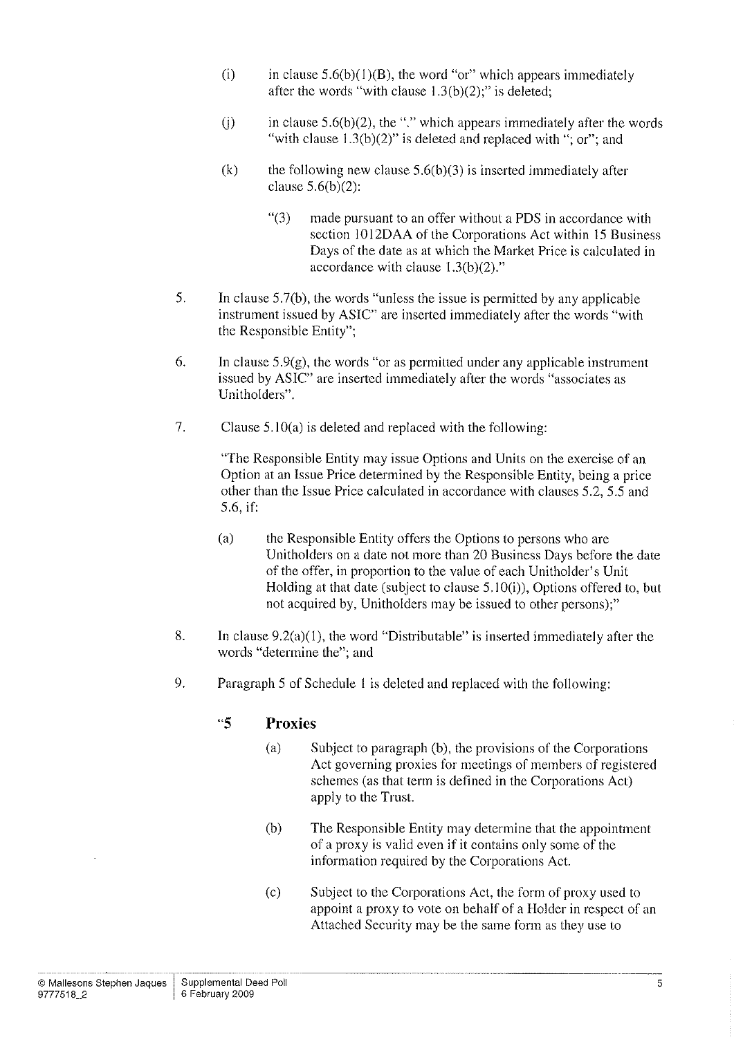- (i) in clause  $5.6(b)(1)(B)$ , the word "or" which appears immediately after the words "with clause  $1.3(b)(2)$ ;" is deleted;
- (i) in clause  $5.6(b)(2)$ , the "." which appears immediately after the words "with clause  $1.3(b)(2)$ " is deleted and replaced with "; or"; and
- (k) the following new clause  $5.6(b)(3)$  is inserted immediately after clause  $5.6(b)(2)$ :
	- "(3) made pursuant to an offer without a PDS in accordance with section 1012DAA of the Corporations Act within 15 Business Days of the date as at which the Market Price is calculated in accordance with clause  $1.3(b)(2)$ ."
- 5. In clause 5.7(b), the words "unless the issue is permitted by any applicable instrument issued by ASIC" are inserted immediately after the words "with the Responsible Entity";
- 6. In clause  $5.9(g)$ , the words "or as permitted under any applicable instrument issued by ASIC" are inserted immediately after the words "associates as Unitholders".
- <sup>7</sup>. Clause 5.10(a) is deleted and replaced with the following:

"The Responsible Entity may issue Options and Units on the exercise of an Option at an Issue Price determined by the Responsible Entity, being a price other than the Issue Price calculated in accordance with clauses 5.2, 5.5 and 5.6, if:

- (a) the Responsible Entity offers the Options to persons who are Unitholders on a date not more than 20 Business Days before the date of the offer, in proportion to the value of each Unitholder's Unit Holding at that date (subject to clause 5.10(i)), Options offered to, but not acquired by, Unitholders may be issued to other persons);"
- 8. In clause 9.2(a)(1), the word "Distributable" is inserted immediately after the words "determine the"; and
- 9. Paragraph 5 of Schedule 1 is deleted and replaced with the following:

### "5 Proxies

- (a) Subject to paragraph (b), the provisions of the Corporations Act governing proxies for meetings of members of registered schemes (as that term is defined in the Corporations Act) apply to the Trust.
- (b) The Responsible Entity may determine that the appointment of a proxy is valid even if it contains only some of the information required by the Corporations Act.
- (c) Subject to the Corporations Act, the form of proxy used to appoint a proxy to vote on behalf of a Holder in respect of an Attached Security may be the same form as they use to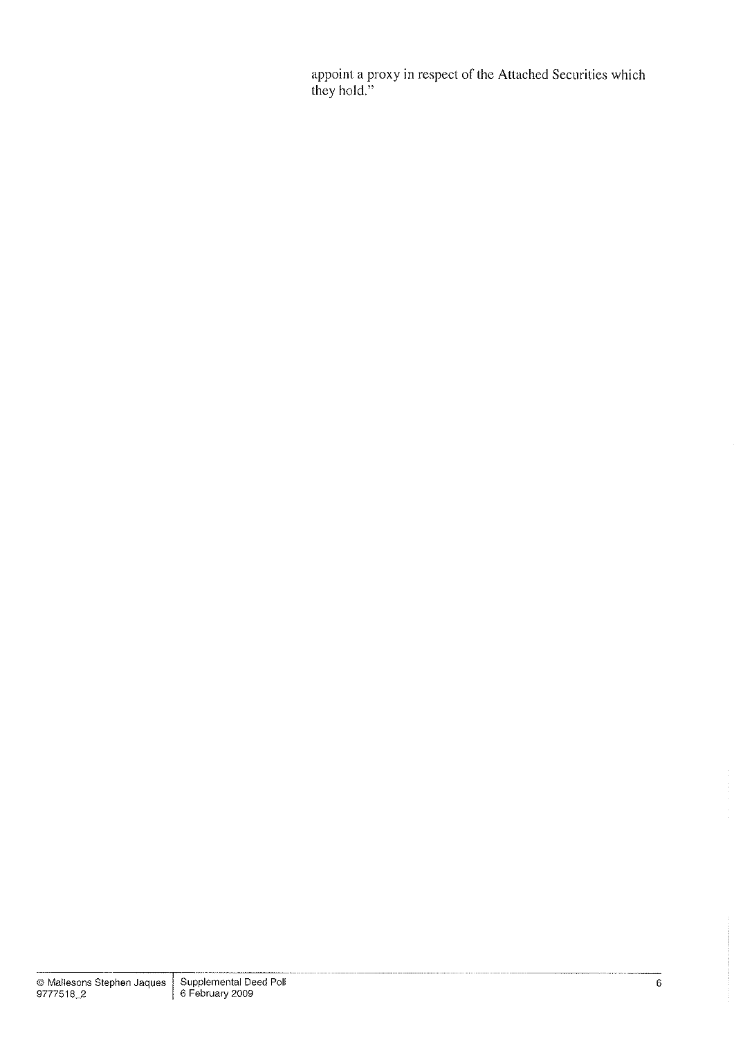appoint a proxy in respect of the Attached Securities which they hold."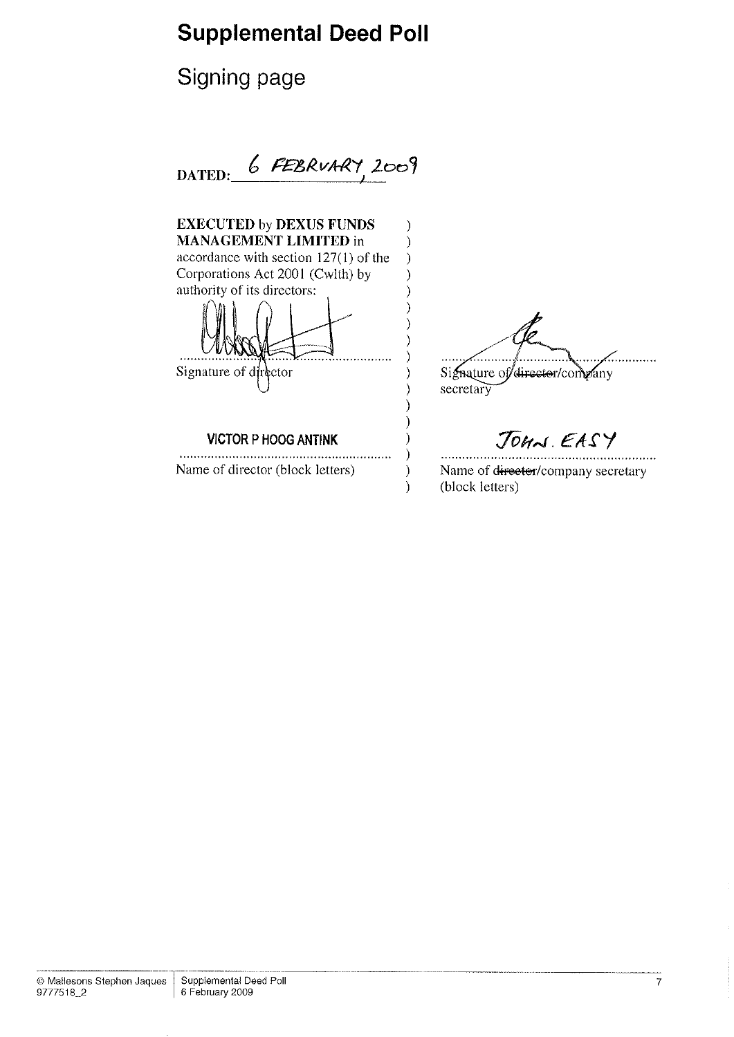Signing page

 $DATED:$  6 FEBRUARY, 2009

EXECUTED by DEXUS FUNDS  $\mathcal{E}$ MANAGEMENT LIMITED in  $\mathcal{E}$ accordance with section 127(l) of the  $\mathcal{E}$ Corporations Act 2001 (Cwlth) by  $\mathcal{E}$ authority of its directors: ⟩ ſ  $\mathcal{E}$ Signature of director/company Signature of director  $\mathcal{E}$  $\mathcal{E}$ secretary  $\mathcal{E}$ VICTOR P HOOG ANTINK  $\mathcal{E}$  $\mathcal{E}$ 

 $\mathcal{E}$  $\lambda$ 

Name of director (block letters)

JOHN. EASY

. . . . . . . . .

Name of director/company secretary (block letters)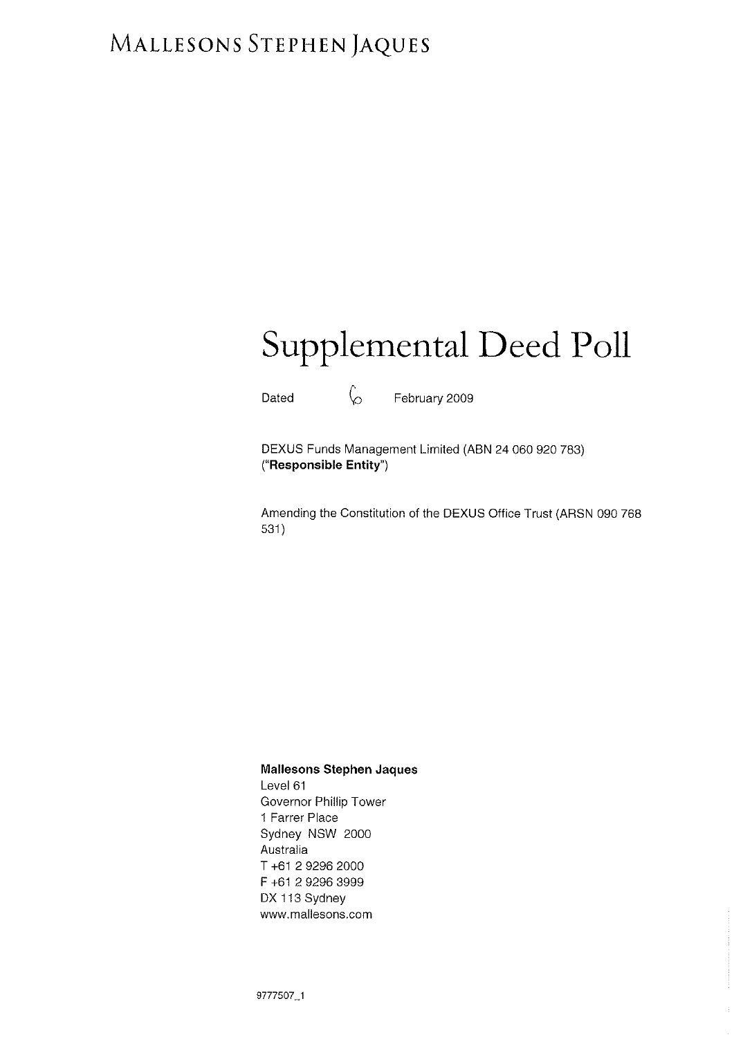# MALLESONS STEPHEN JAQUES

# Supplemental Deed Poll

Dated  $\downarrow$  February 2009

DEXUS Funds Management Limited (ABN 24 060 920 783) ("Responsible Entity")

Amending the Constitution of the DEXUS Office Trust (ARSN 090 768 531 )

### Mallesons Stephen Jaques

Level 61 Governor Phillip Tower 1 Farrer Place Sydney NSW 2000 Australia T +61 2 9296 2000 F +61 2 9296 3999 DX 113 Sydney www.mallesons.com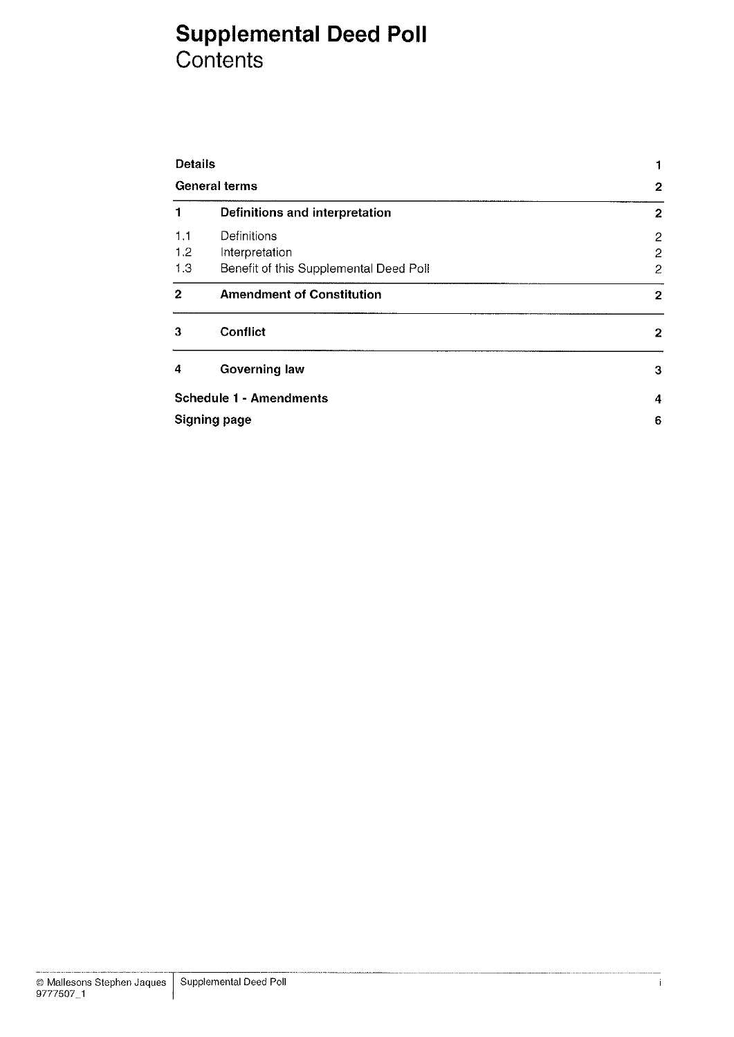## Supplemental Deed Poll Contents

| <b>Details</b><br><b>General terms</b> |                                        | 1                |
|----------------------------------------|----------------------------------------|------------------|
|                                        |                                        | $\mathbf{2}$     |
| 1                                      | Definitions and interpretation         | $\boldsymbol{2}$ |
| 1.1                                    | Definitions                            | $\overline{2}$   |
| 1.2                                    | Interpretation                         | 2                |
| 1.3                                    | Benefit of this Supplemental Deed Poll | $\overline{c}$   |
| $\overline{2}$                         | <b>Amendment of Constitution</b>       | $\mathbf 2$      |
| 3                                      | Conflict                               | 2                |
| 4                                      | Governing law                          | 3                |
|                                        | <b>Schedule 1 - Amendments</b>         | $\boldsymbol{4}$ |
|                                        | <b>Signing page</b>                    | 6                |
|                                        |                                        |                  |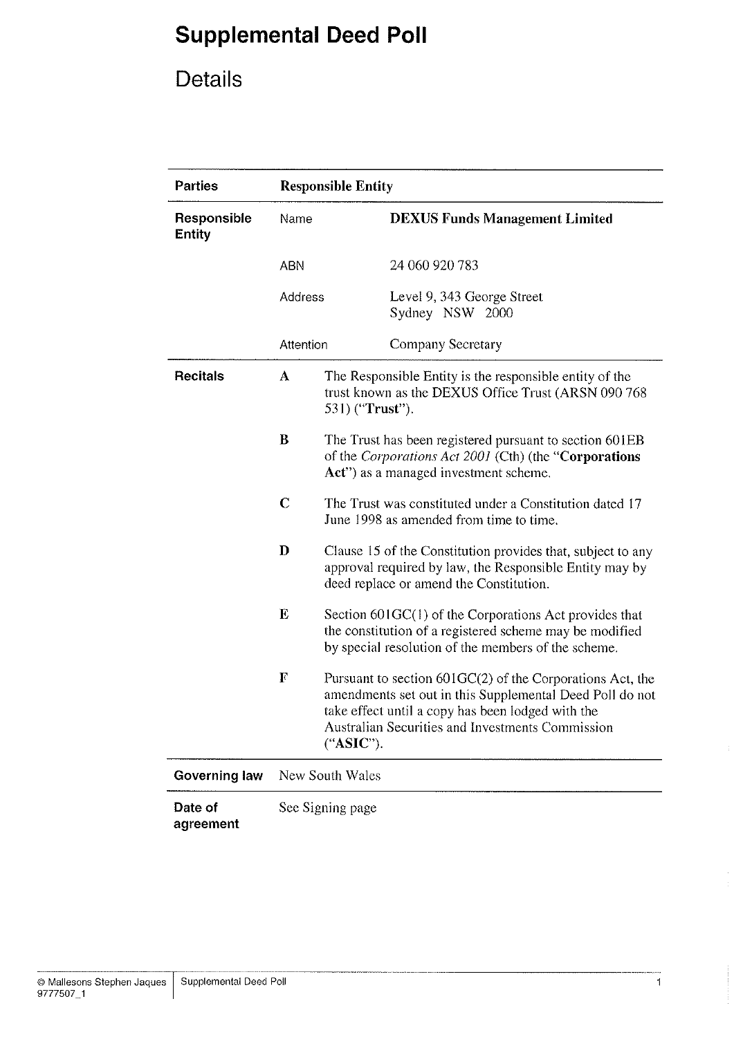# Details

| <b>Parties</b>               | <b>Responsible Entity</b>                                                                                                                                              |                                                                                                                                                                                                                                                |                                               |  |
|------------------------------|------------------------------------------------------------------------------------------------------------------------------------------------------------------------|------------------------------------------------------------------------------------------------------------------------------------------------------------------------------------------------------------------------------------------------|-----------------------------------------------|--|
| Responsible<br><b>Entity</b> | Name                                                                                                                                                                   |                                                                                                                                                                                                                                                | <b>DEXUS Funds Management Limited</b>         |  |
|                              | <b>ABN</b>                                                                                                                                                             |                                                                                                                                                                                                                                                | 24 060 920 783                                |  |
|                              | Address                                                                                                                                                                |                                                                                                                                                                                                                                                | Level 9, 343 George Street<br>Sydney NSW 2000 |  |
|                              | Attention                                                                                                                                                              |                                                                                                                                                                                                                                                | Company Secretary                             |  |
| <b>Recitals</b>              | The Responsible Entity is the responsible entity of the<br>A<br>trust known as the DEXUS Office Trust (ARSN 090 768<br>531) (" <b>Trust</b> ").                        |                                                                                                                                                                                                                                                |                                               |  |
|                              | $\bf{B}$<br>The Trust has been registered pursuant to section 601EB<br>of the Corporations Act 2001 (Cth) (the "Corporations"<br>Act") as a managed investment scheme. |                                                                                                                                                                                                                                                |                                               |  |
|                              | $\mathbf C$<br>The Trust was constituted under a Constitution dated 17<br>June 1998 as amended from time to time.                                                      |                                                                                                                                                                                                                                                |                                               |  |
|                              | D                                                                                                                                                                      | Clause 15 of the Constitution provides that, subject to any<br>approval required by law, the Responsible Entity may by<br>deed replace or amend the Constitution.                                                                              |                                               |  |
|                              | E                                                                                                                                                                      | Section 601GC(1) of the Corporations Act provides that<br>the constitution of a registered scheme may be modified<br>by special resolution of the members of the scheme.                                                                       |                                               |  |
|                              | F                                                                                                                                                                      | Pursuant to section $601$ GC(2) of the Corporations Act, the<br>amendments set out in this Supplemental Deed Poll do not<br>take effect until a copy has been lodged with the<br>Australian Securities and Investments Commission<br>("ASIC"). |                                               |  |
| Governing law                | New South Wales                                                                                                                                                        |                                                                                                                                                                                                                                                |                                               |  |
| Date of<br>agreement         | See Signing page                                                                                                                                                       |                                                                                                                                                                                                                                                |                                               |  |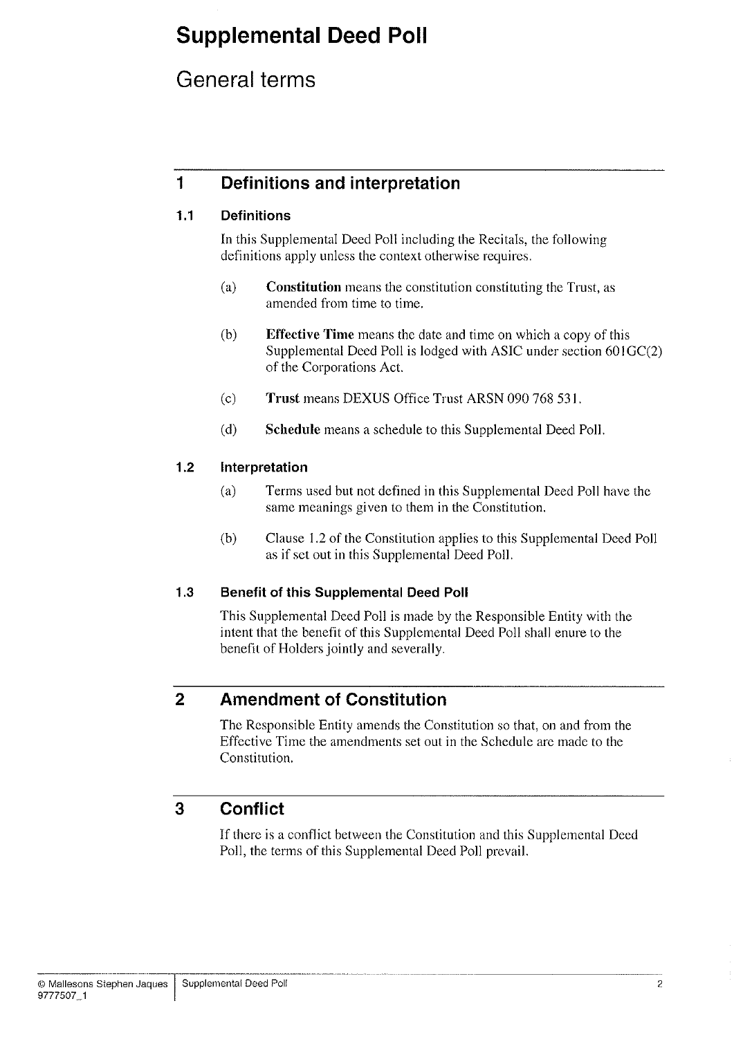## General terms

## 1 Definitions and interpretation

### 1.1 Definitions

In this Supplemental Deed Poll including the Recitals, the following definitions apply unless the context otherwise requires.

- (a) Constitution means the constitution constituting the Trust, as amended from time to time.
- (b) Effective Time means the date and time on which a copy of this Supplemental Deed Poll is lodged with ASIC under section 60lGC(2) of the Corporations Act.
- (c) Trust means DEXUS Office Trust ARSN 090 768 531.
- (d) Schedule means a schedule to this Supplemental Deed Poll.

### 1.2 lnterpretation

- (a) Terms used but not defined in this Supplemental Deed Poll have the same meanings given to them in the Constitution.
- (b) Clause 1.2 of the Constitution applies to this Supplemental Deed Poll as if set out in this Supplemental Deed Poll.

### 1.3 Benefit of this Supplemental Deed Poll

This Supplemental Deed Poll is made by the Responsible Entity with the intent that the benefit of this Supplemental Deed Poll shall enure to the benefit of Holders jointly and severally.

## 2 Amendment of Constitution

The Responsible Entity amends the Constitution so that, on and from the Effective Time the amendments set out in the Schedule are made to the Constitution.

## 3 Conflict

If there is a conflict between the Constitution and this Supplemental Deed Poll, the terms of this Supplemental Deed Poll prevail.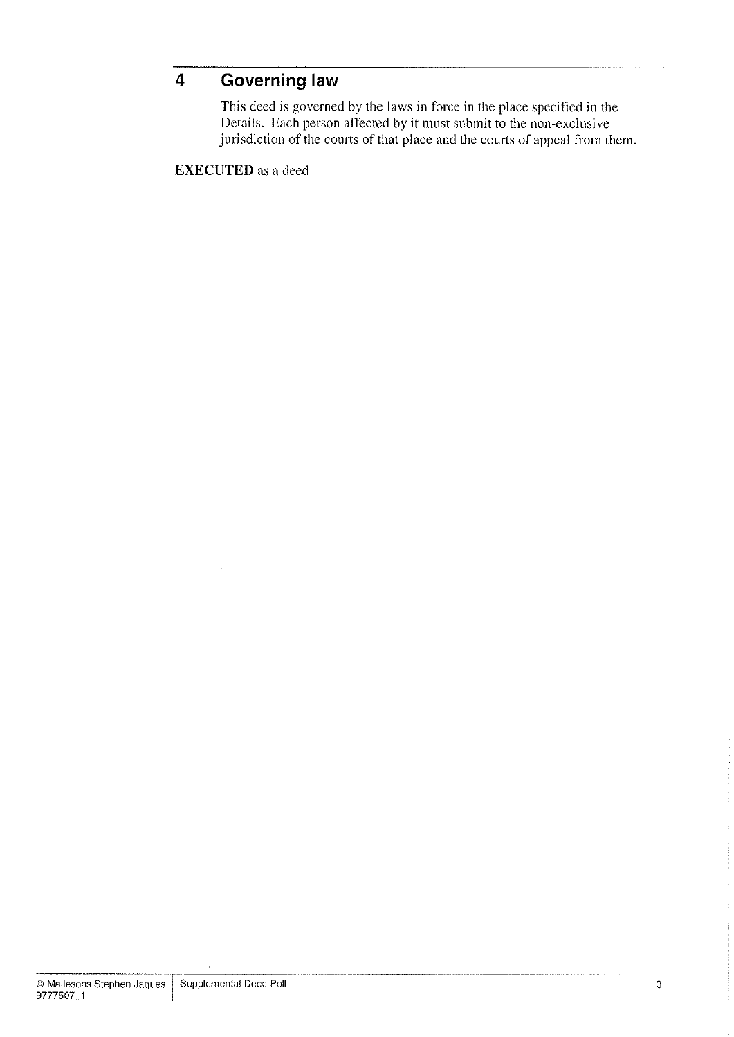## 4 Governing law

This deed is governed by the laws in force in the place specified in the Details. Each person affected by it must subrnit to the non-exclusive jurisdiction of the courts of that place and the courts of appeal from them.

EXECUTED as a deed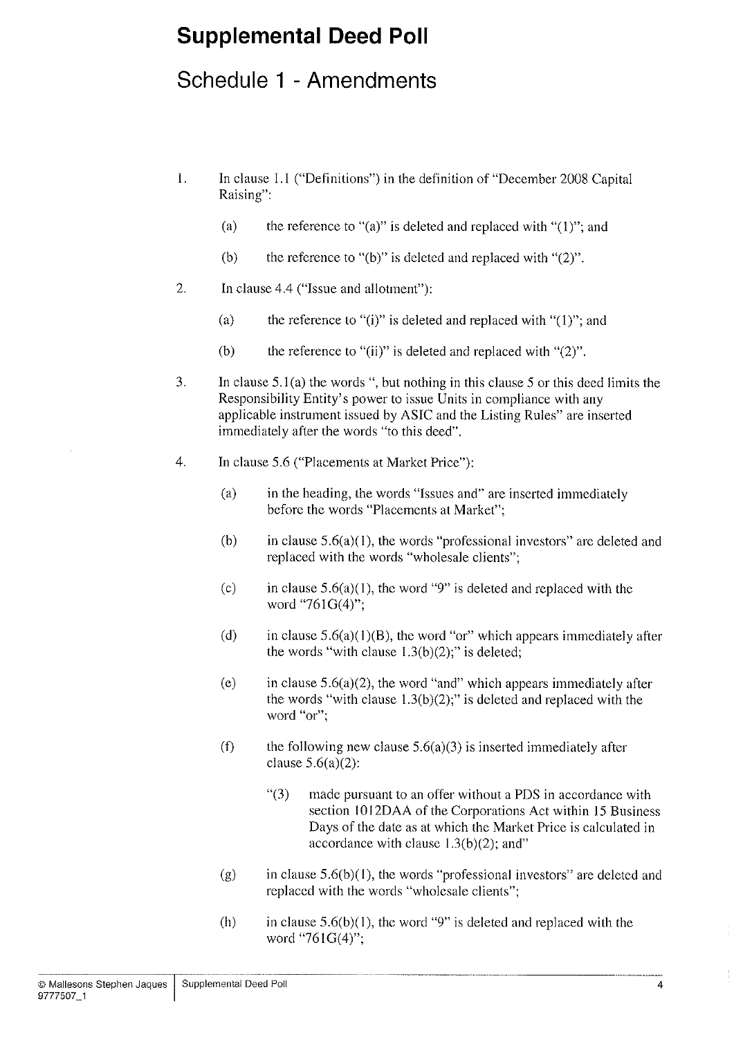## Schedule 1 - Amendments

- 1. In clause 1.1 ("Definitions") in the definition of "December 2008 Capital Raising":
	- (a) the reference to "(a)" is deleted and replaced with " $(1)$ "; and
	- (b) the reference to "(b)" is deleted and replaced with " $(2)$ ".
- 2. In clause 4.4 ("Issue and allotment"):
	- (a) the reference to "(i)" is deleted and replaced with " $(1)$ "; and
	- (b) the reference to "(ii)" is deleted and replaced with " $(2)$ ".
- 3. In clause 5.1(a) the words ", but nothing in this clause 5 or this deed limits the Responsibility Entity's power to issue Units in compliance with any applicable instrument issued by ASIC and the Listing Rules" are inserted immediately after the words "to this deed".
- 4. In clause 5.6 ("Placements at Market Price"):
	- (a) in the heading, the words "lssues and" are inserted immediately before the words "Placements at Market";
	- (b) in clause  $5.6(a)(1)$ , the words "professional investors" are deleted and replaced with the words "wholesale clients";
	- (c) in clause  $5.6(a)(1)$ , the word "9" is deleted and replaced with the word "761G(4)";
	- (d) in clause  $5.6(a)(1)(B)$ , the word "or" which appears immediately after the words "with clause  $1.3(b)(2)$ ;" is deleted;
	- (e) in clause  $5.6(a)(2)$ , the word "and" which appears immediately after the words "with clause  $1.3(b)(2)$ ;" is deleted and replaced with the word "or";
	- (f) the following new clause  $5.6(a)(3)$  is inserted immediately after clause  $5.6(a)(2)$ :
		- "(3) made pursuant to an offer without a PDS in accordance with section 10l2DAA of the Corporations Act within l5 Business Days of the date as at which the Market Price is calculated in accordance with clause  $1.3(b)(2)$ ; and"
	- (g) in clause  $5.6(b)(1)$ , the words "professional investors" are deleted and replaced with the words "wholesale clients";
	- (h) in clause  $5.6(b)(1)$ , the word "9" is deleted and replaced with the word "761G(4)";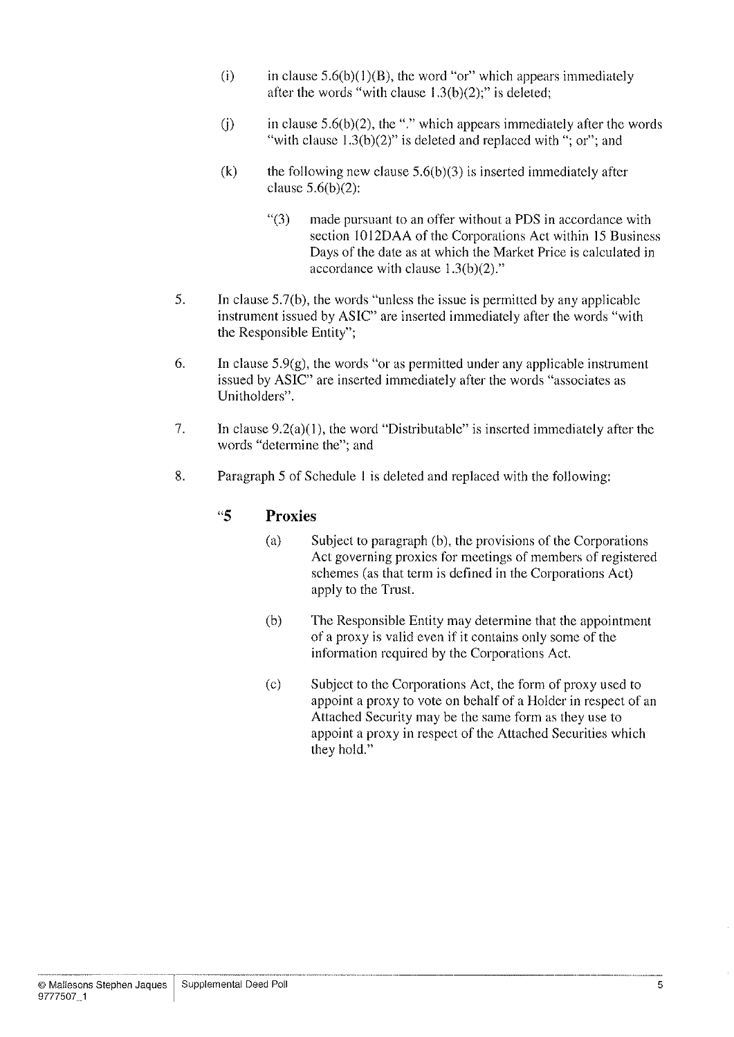- (i) in clause  $5.6(b)(1)(B)$ , the word "or" which appears immediately after the words "with clause  $1.3(b)(2)$ ;" is deleted;
- (j) in clause  $5.6(b)(2)$ , the "." which appears immediately after the words "with clause  $1.3(b)(2)$ " is deleted and replaced with "; or"; and
- (k) the following new clause  $5.6(b)(3)$  is inserted immediately after clause  $5.6(b)(2)$ :
	- "(3) made pursuant to an offer without a PDS in accordance with section I012DAA of the Corporations Act within 15 Business Days of the date as at which the Market Price is calculated in accordance with clause  $1.3(b)(2)$ ."
- 5. In clause 5.7(b), the words "unless the issue is permitted by any applicable instrument issued by ASIC" are inserted immediately after the words "with the Responsible Entity";
- 6. In clause  $5.9(g)$ , the words "or as permitted under any applicable instrument issued by ASIC" are inserted immediately after the words "associates as Unitholders".
- 7. In clause 9.2(a)(l), the word "Distributable" is inserted immediately after the words "determine the"; and
- 8. Paragraph 5 of Schedule I is deleted and replaced with the following:

### "5 Proxies

- (a) Subject to paragraph (b), the provisions of the Corporations Act governing proxies for meetings of members of registered schemes (as that term is defined in the Corporations Act) apply to the Trust.
- (b) The Responsible Entity may determine that the appointment of a proxy is valid even if it contains only some of the information required by the Corporations Act.
- (c) Subject to the Corporations Act, the form of proxy used to appoint a proxy to vote on behalf of a Holder in respect of an Attached Security may be the same form as they use to appoint a proxy in respect of the Attached Securities which they hold."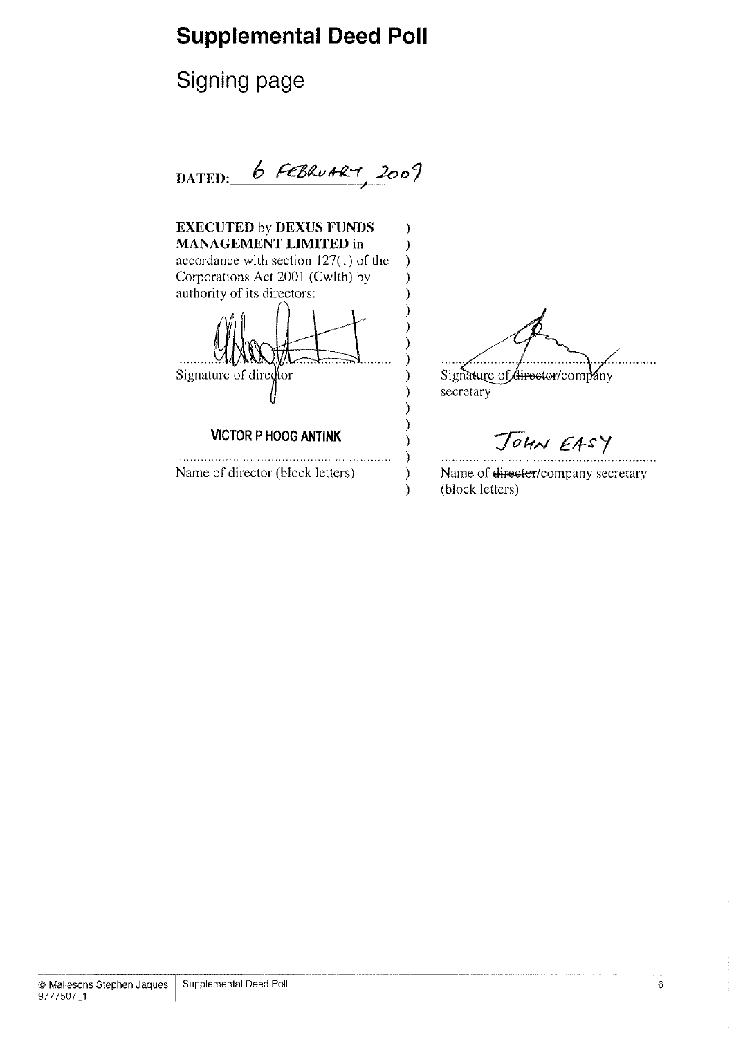Signing page

DATED:  $6$  FEBRUARM 2009

 $\mathcal{E}$  $\mathcal{E}$  $\mathcal{E}$  $\mathcal{E}$  $\mathcal{E}$ 

> ) ⟩

 $\mathcal{E}$ 

 $\mathcal{E}$ 

}  $\mathcal{E}$ 

EXECUTED by DEXUS FUNDS MANAGEMENT LIMITED in accordance with section 127(l) of the Corporations Act 2001 (Cwlth) by

authority of its directors: Signature of director

VICTOR P HOOG ANTINK

Name of director (block letters)

. . . . . . .  $\ddotsc$ 

Signature of director/company secretary

JOHN EASY

 $\mathcal{E}$ Name of director/company secretary  $\mathcal{E}$  $\mathcal{E}$ (block letters)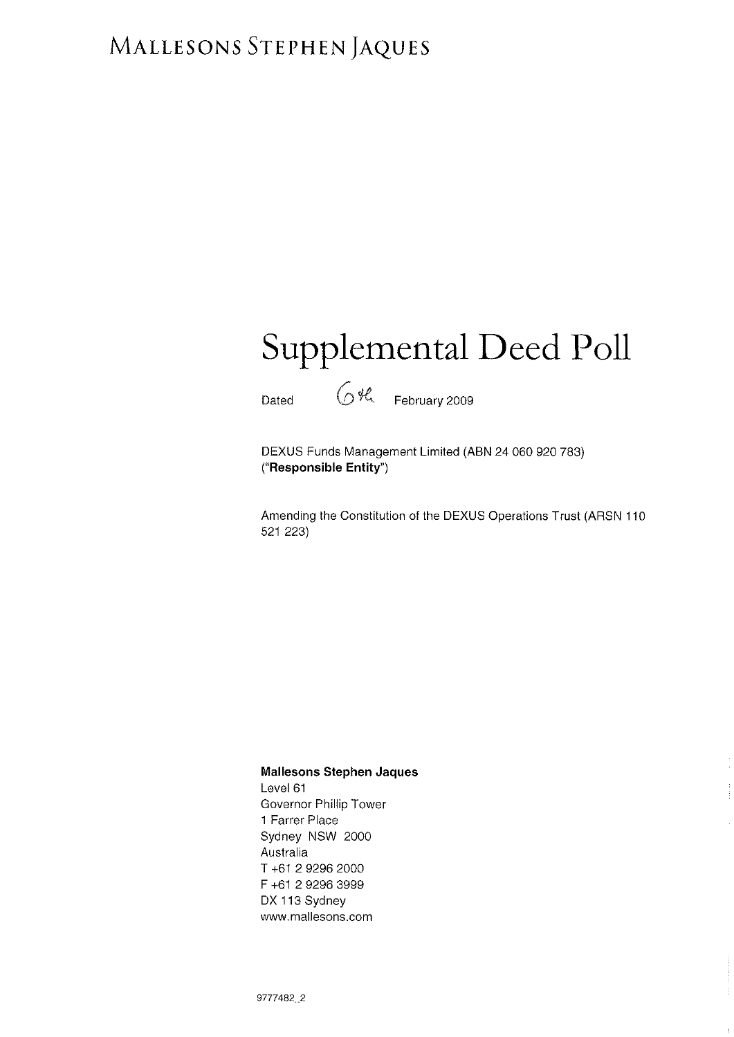# MALLESONS STEPHEN JAQUES

# Supplemental Deed Poll

Dated  $64$  February 2009

DEXUS Funds Management Limited (ABN 24 060 920 783) ("Responsible Entity")

Amending the Constitution of the DEXUS Operations Trust (ARSN 110 521 223)

#### Mallesons Stephen Jaques

Level 61 Governor Phillip Tower 1 Farrer Place Sydney NSW 2000 Australia T +61 2 9296 2000 F +61 2 9296 3999 DX 113 Sydney www.mallesons.com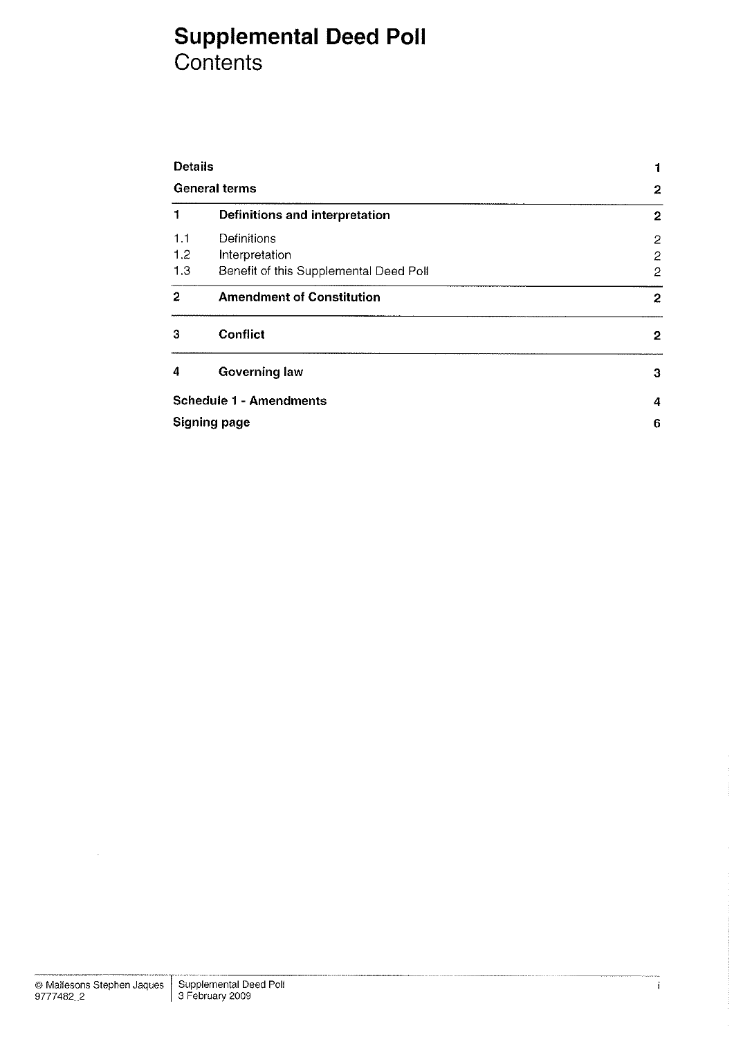## Supplemental Deed Poll Contents

| <b>Details</b><br><b>General terms</b> |                                        |                         |
|----------------------------------------|----------------------------------------|-------------------------|
|                                        |                                        | $\overline{\mathbf{c}}$ |
| 1                                      | Definitions and interpretation         | $\overline{2}$          |
| 1.1                                    | Definitions                            | $\overline{c}$          |
| 1,2                                    | Interpretation                         | $\overline{c}$          |
| 1.3                                    | Benefit of this Supplemental Deed Poll | $\overline{c}$          |
| $\mathbf{2}$                           | <b>Amendment of Constitution</b>       | $\boldsymbol{2}$        |
| з                                      | <b>Conflict</b>                        | 2                       |
| 4                                      | <b>Governing law</b>                   | 3                       |
|                                        | <b>Schedule 1 - Amendments</b>         | 4                       |
| <b>Signing page</b>                    | 6                                      |                         |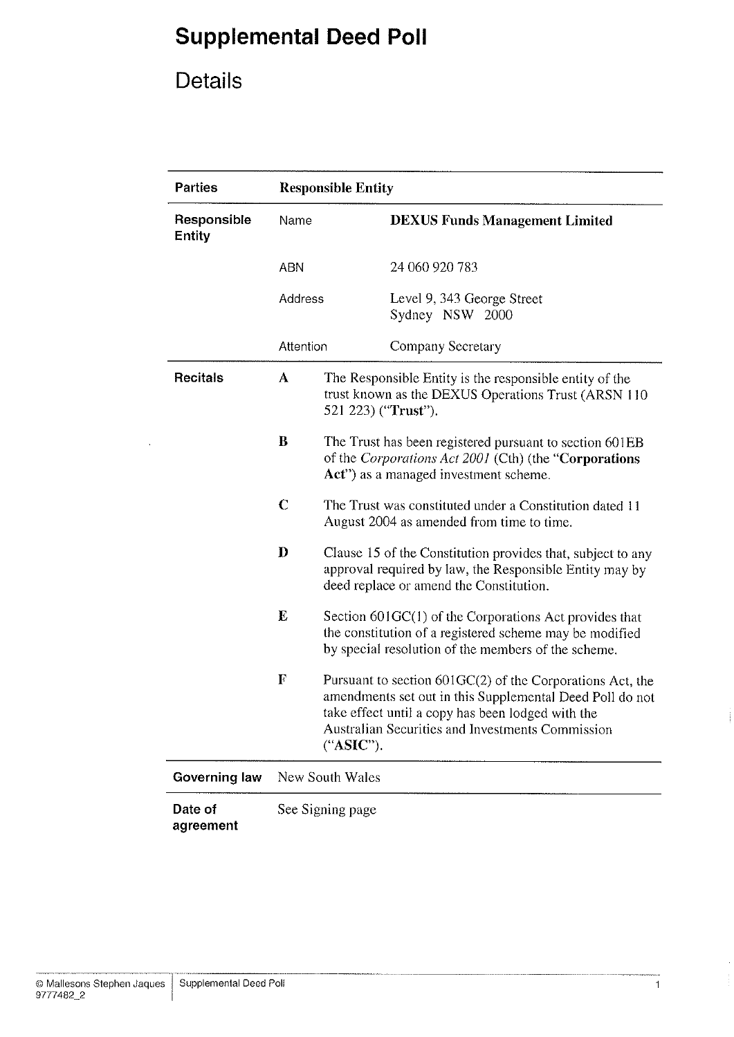# Details

| <b>Parties</b>               | <b>Responsible Entity</b> |                                                                                                                                                                          |                                                                                                                                                                                                                                |  |
|------------------------------|---------------------------|--------------------------------------------------------------------------------------------------------------------------------------------------------------------------|--------------------------------------------------------------------------------------------------------------------------------------------------------------------------------------------------------------------------------|--|
| Responsible<br><b>Entity</b> | Name                      |                                                                                                                                                                          | <b>DEXUS Funds Management Limited</b>                                                                                                                                                                                          |  |
|                              | <b>ABN</b>                |                                                                                                                                                                          | 24 060 920 783                                                                                                                                                                                                                 |  |
|                              | Address                   |                                                                                                                                                                          | Level 9, 343 George Street<br>Sydney NSW 2000                                                                                                                                                                                  |  |
|                              | Attention                 |                                                                                                                                                                          | Company Secretary                                                                                                                                                                                                              |  |
| <b>Recitals</b>              | A                         | The Responsible Entity is the responsible entity of the<br>trust known as the DEXUS Operations Trust (ARSN 110<br>521 223) ("Trust").                                    |                                                                                                                                                                                                                                |  |
|                              | B                         |                                                                                                                                                                          | The Trust has been registered pursuant to section 601EB<br>of the Corporations Act 2001 (Cth) (the "Corporations"<br>Act") as a managed investment scheme.                                                                     |  |
|                              | $\mathbf C$               | The Trust was constituted under a Constitution dated 11<br>August 2004 as amended from time to time.                                                                     |                                                                                                                                                                                                                                |  |
|                              | $\mathbf{D}$              |                                                                                                                                                                          | Clause 15 of the Constitution provides that, subject to any<br>approval required by law, the Responsible Entity may by<br>deed replace or amend the Constitution.                                                              |  |
|                              | E                         | Section 601GC(1) of the Corporations Act provides that<br>the constitution of a registered scheme may be modified<br>by special resolution of the members of the scheme. |                                                                                                                                                                                                                                |  |
|                              | $\mathbf F$               | ("ASIC").                                                                                                                                                                | Pursuant to section 601GC(2) of the Corporations Act, the<br>amendments set out in this Supplemental Deed Poll do not<br>take effect until a copy has been lodged with the<br>Australian Securities and Investments Commission |  |
| Governing law                | New South Wales           |                                                                                                                                                                          |                                                                                                                                                                                                                                |  |
| Date of<br>agreement         | See Signing page          |                                                                                                                                                                          |                                                                                                                                                                                                                                |  |

Ť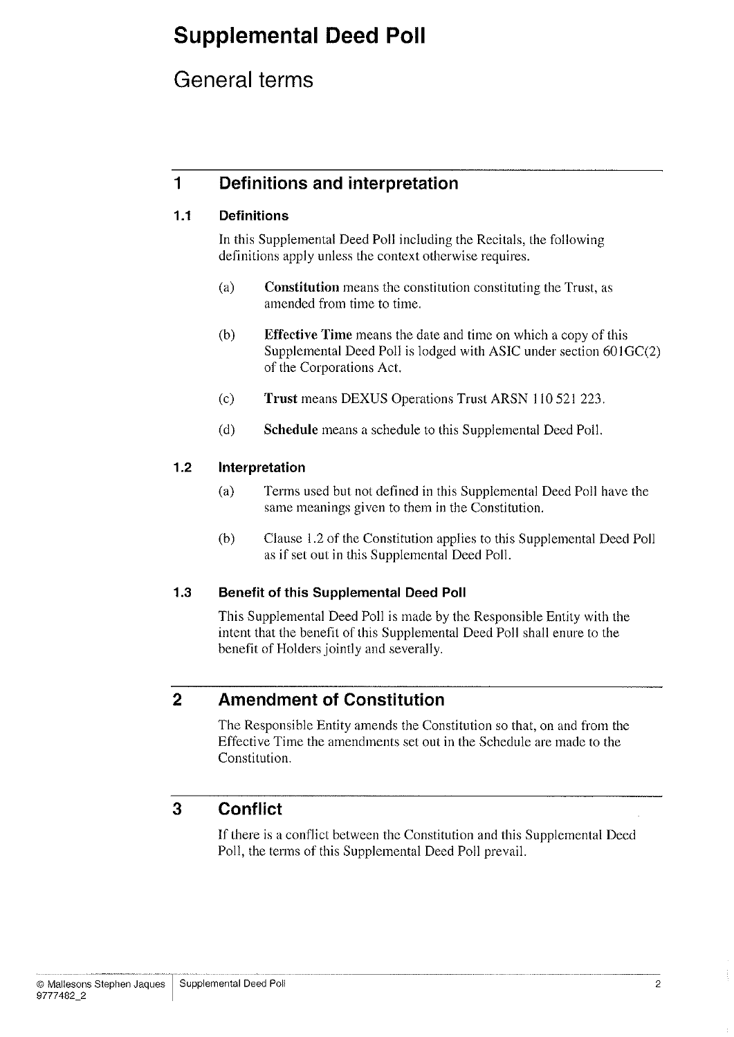## General terms

## 1 Definitions and interpretation

### 1.1 Definitions

In this Supplemental Deed Poll including the Recitals, the following definitions apply unless the context otherwise requires.

- (a) Constitution means the constitution constituting the Trust, as amended from time to time.
- (b) Effective Time means the date and time on which a copy of this Supplemental Deed Poll is lodged with ASIC under section 601GC(2) of the Corporations Act.
- (c) Trust means DEXUS Operations Trust ARSN ll0 521223.
- (d) Schedule means a schedule to this Supplemental Deed Poll.

### 1.2 lnterpretation

- (a) Terms used but not defined in this Supplemental Deed Poll have the same meanings given to them in the Constitution.
- (b) Clause 1.2 of the Constitution applies to this Supplemental Deed Poll as if set out in this Supplemental Deed Poll.

### 1.3 Benefit of this Supplemental Deed Poll

This Supplemental Deed Poll is made by the Responsible Entity with the intent that the benefit of this Supplemental Deed Poll shall enure to the benefit of Holders jointly and severally.

## 2 Amendment of Constitution

The Responsible Entity amends the Constitution so that, on and from the Effective Time the amendments set out in the Schedule are made to the Constitution.

## 3 Conflict

If there is a conflict between the Constitution and this Supplemental Deed Poll, the terms of this Supplemental Deed Poll prevail.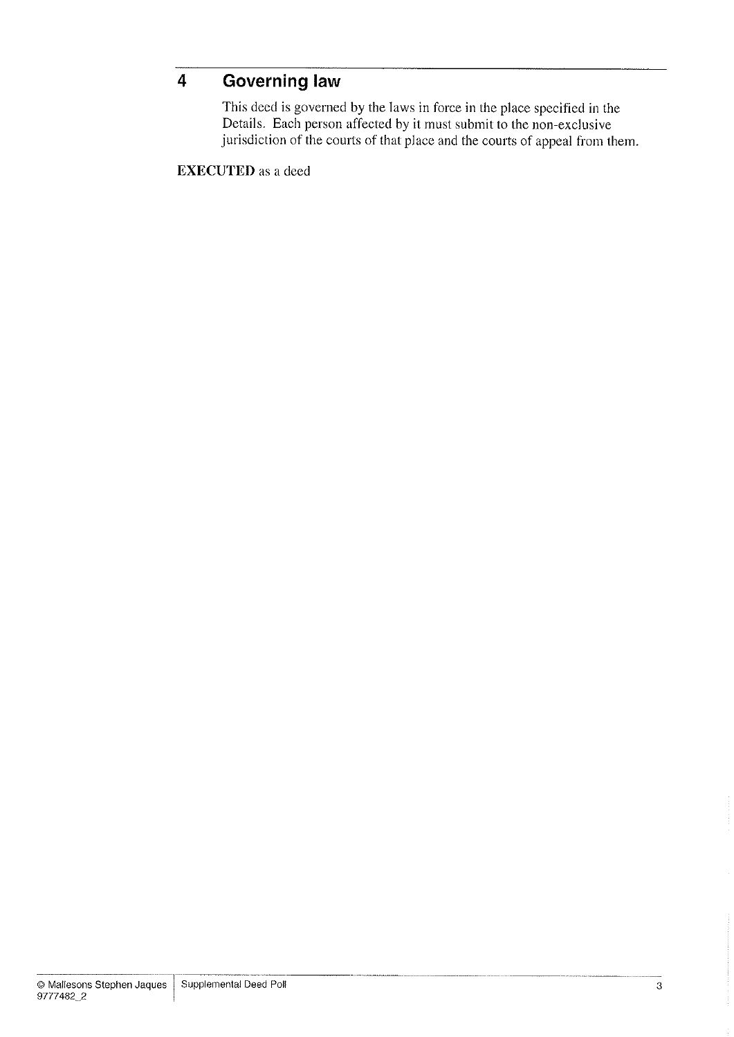## 4 Governing law

This deed is governed by the laws in force in the place specified in the Details. Each person affected by it must submit to the non-exclusive jurisdiction of the courts of that place and the courts of appeal from them.

EXECUTED as a deed

'3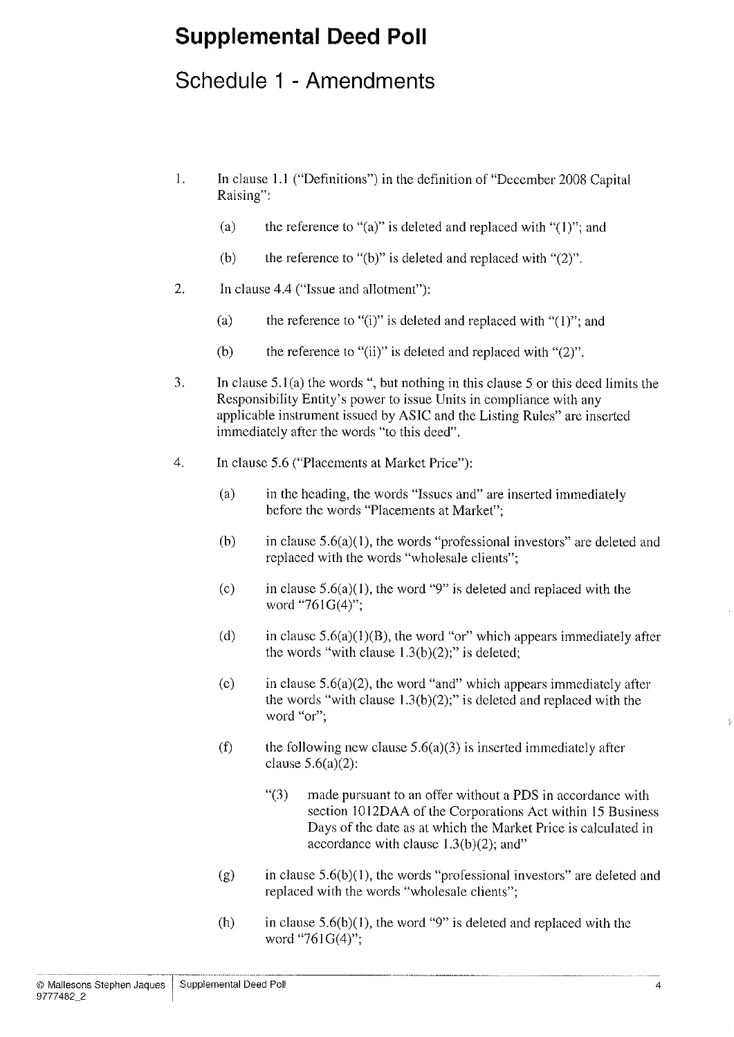## Schedule 1 - Amendments

- l. In clause l.l ("Definitions") in the definition of "December 2008 Capital Raising":
	- (a) the reference to "(a)" is deleted and replaced with " $(1)$ "; and
	- (b) the reference to "(b)" is deleted and replaced with " $(2)$ ".
- 2. In clause 4.4 ("lssue and allotment"):
	- (a) the reference to "(i)" is deleted and replaced with " $(1)$ "; and
	- (b) the reference to "(ii)" is deleted and replaced with " $(2)$ ".
- 3. In clause 5.1(a) the words ", but nothing in this clause 5 or this deed limits the Responsibility Entity's power to issue Units in compliance with any applicable instrument issued by ASIC and the Listing Rules" are inserted immediately after the words "to this deed".
- 4. In clause 5.6 ("Placements at Market Price"):
	- (a) in the heading, the words "Issues and" are inserted immediately before the words "Placements at Market";
	- (b) in clause  $5.6(a)(1)$ , the words "professional investors" are deleted and replaced with the words "wholesale clients";
	- (c) in clause  $5.6(a)(1)$ , the word "9" is deleted and replaced with the word "761G(4)";
	- (d) in clause  $5.6(a)(1)(B)$ , the word "or" which appears immediately after the words "with clause  $1.3(b)(2)$ ;" is deleted;
	- (e) in clause  $5.6(a)(2)$ , the word "and" which appears immediately after the words "with clause  $1.3(b)(2)$ ;" is deleted and replaced with the word "or";
	- (f) the following new clause  $5.6(a)(3)$  is inserted immediately after clause  $5.6(a)(2)$ :
		- "(3) made pursuant to an offer without a PDS in accordance with section 1012DAA of the Corporations Act within 15 Business Days of the date as at which the Market Price is calculated in accordance with clause  $1.3(b)(2)$ ; and"
	- (g) in clause  $5.6(b)(1)$ , the words "professional investors" are deleted and replaced with the words "wholesale clients";
	- (h) in clause  $5.6(b)(1)$ , the word "9" is deleted and replaced with the word "761G(4)";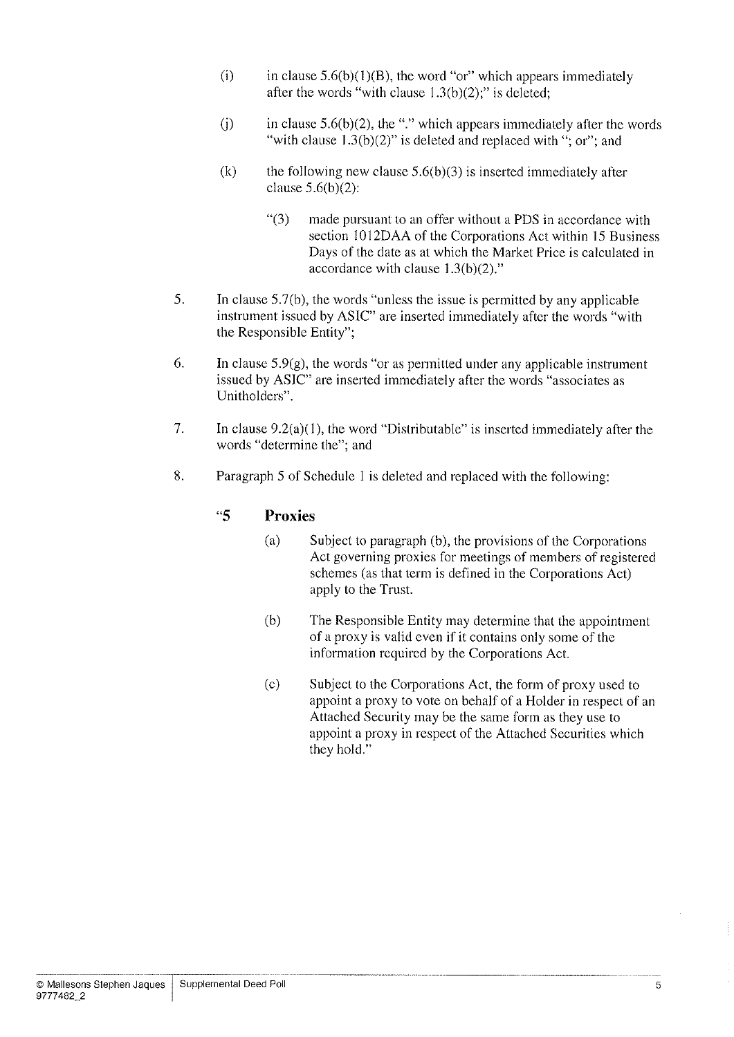- (i) in clause  $5.6(b)(1)(B)$ , the word "or" which appears immediately after the words "with clause  $1.3(b)(2)$ ;" is deleted;
- (j) in clause  $5.6(b)(2)$ , the "." which appears immediately after the words "with clause  $1.3(b)(2)$ " is deleted and replaced with "; or"; and
- (k) the following new clause  $5.6(b)(3)$  is inserted immediately after clause  $5.6(b)(2)$ :
	- "(3) made pursuant to an offer without a PDS in accordance with section l012DAA of the Corporations Act within l5 Business Days of the date as at which the Market Price is calculated in accordance with clause 1.3(b)(2)."
- 5. In clause 5.7(b), the words "unless the issue is permitted by any applicable instrument issued by ASIC" are inserted immediately after the words "with the Responsible Entity";
- 6. In clause  $5.9(g)$ , the words "or as permitted under any applicable instrument issued by ASIC" are inserted immediately after the words "associates as Unitholders".
- 7. In clause 9.2(a)(1), the word "Distributable" is inserted immediately after the words "determine the"; and
- 8. Paragraph 5 of Schedule I is deleted and replaced with the following:

### "5 Proxies

- (a) Subject to paragraph (b), the provisions of the Corporations Act governing proxies for meetings of members of registered schemes (as that term is defined in the Corporations Act) apply to the Trust.
- (b) The Responsible Entity may determine that the appointment of a proxy is valid even if it contains only some of the information required by the Corporations Act.
- (c) Subject to the Corporations Act, the form of proxy used to appoint a proxy to vote on behalf of a Holder in respect of an Attached Security may be the same form as they use to appoint a proxy in respect of the Attached Securities which they hold."